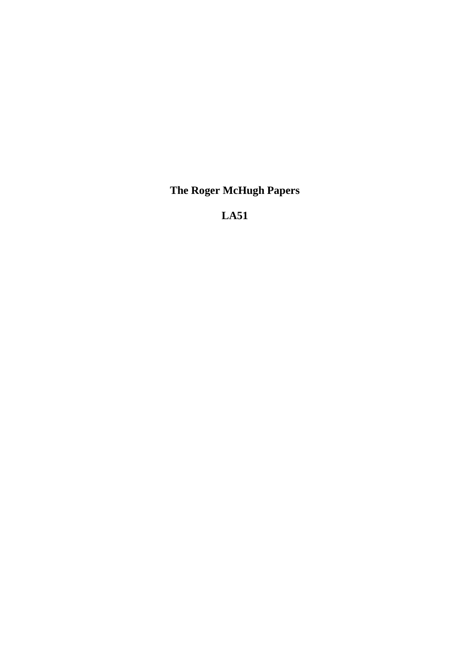**The Roger McHugh Papers**

**LA51**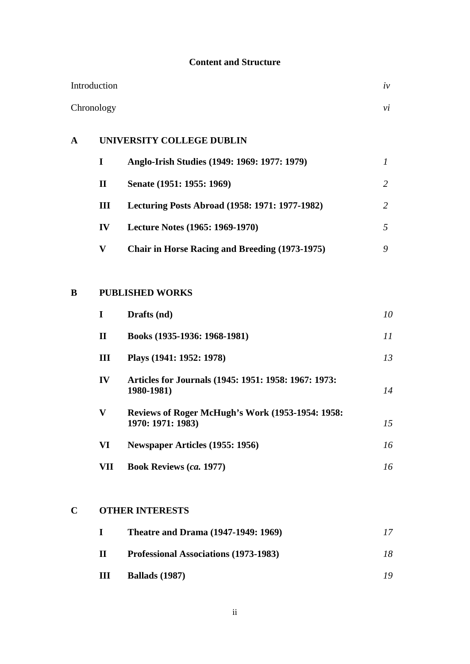## **Content and Structure**

| Introduction |             |                                                       | iv         |
|--------------|-------------|-------------------------------------------------------|------------|
| Chronology   |             |                                                       | $\dot{vi}$ |
| $\mathbf{A}$ |             | UNIVERSITY COLLEGE DUBLIN                             |            |
|              | $\bf{I}$    | Anglo-Irish Studies (1949: 1969: 1977: 1979)          | 1          |
|              | $\mathbf H$ | Senate (1951: 1955: 1969)                             | 2          |
|              | Ш           | Lecturing Posts Abroad (1958: 1971: 1977-1982)        | 2          |
|              | IV          | Lecture Notes (1965: 1969-1970)                       | 5          |
|              | $\mathbf V$ | <b>Chair in Horse Racing and Breeding (1973-1975)</b> | 9          |
|              |             |                                                       |            |
|              |             |                                                       |            |

# **B PUBLISHED WORKS**

| I           | Drafts (nd)                                                           | 10 |
|-------------|-----------------------------------------------------------------------|----|
| $\mathbf H$ | Books (1935-1936: 1968-1981)                                          | 11 |
| Ш           | Plays (1941: 1952: 1978)                                              | 13 |
| IV          | Articles for Journals (1945: 1951: 1958: 1967: 1973:<br>1980-1981)    | 14 |
| V           | Reviews of Roger McHugh's Work (1953-1954: 1958:<br>1970: 1971: 1983) | 15 |
| VI          | Newspaper Articles (1955: 1956)                                       | 16 |
| VП          | <b>Book Reviews (ca. 1977)</b>                                        | 16 |

## **C OTHER INTERESTS**

|   | <b>Theatre and Drama (1947-1949: 1969)</b> |    |
|---|--------------------------------------------|----|
| П | Professional Associations (1973-1983)      | 18 |
| Ш | <b>Ballads</b> (1987)                      | 70 |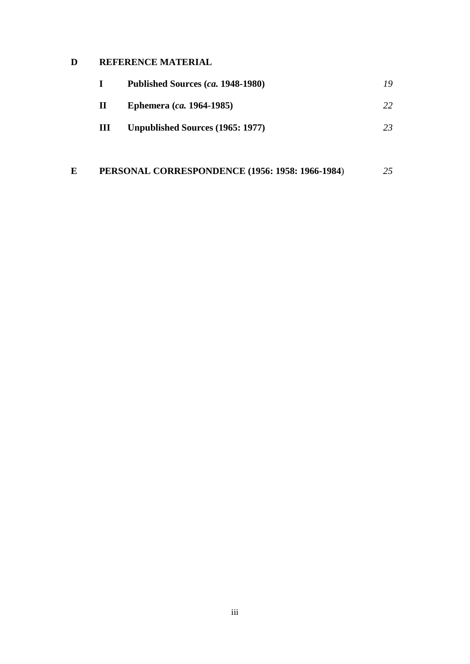## **D REFERENCE MATERIAL**

|   | Published Sources (ca. 1948-1980) | 19 |
|---|-----------------------------------|----|
| П | <b>Ephemera</b> (ca. 1964-1985)   | 22 |
| Ш | Unpublished Sources (1965: 1977)  | 23 |

## **E PERSONAL CORRESPONDENCE (1956: 1958: 1966-1984**) *25*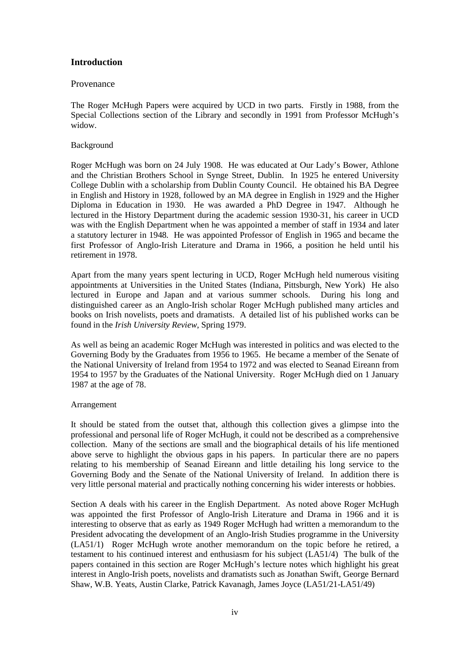### **Introduction**

#### Provenance

The Roger McHugh Papers were acquired by UCD in two parts. Firstly in 1988, from the Special Collections section of the Library and secondly in 1991 from Professor McHugh's widow.

#### Background

Roger McHugh was born on 24 July 1908. He was educated at Our Lady's Bower, Athlone and the Christian Brothers School in Synge Street, Dublin. In 1925 he entered University College Dublin with a scholarship from Dublin County Council. He obtained his BA Degree in English and History in 1928, followed by an MA degree in English in 1929 and the Higher Diploma in Education in 1930. He was awarded a PhD Degree in 1947. Although he lectured in the History Department during the academic session 1930-31, his career in UCD was with the English Department when he was appointed a member of staff in 1934 and later a statutory lecturer in 1948. He was appointed Professor of English in 1965 and became the first Professor of Anglo-Irish Literature and Drama in 1966, a position he held until his retirement in 1978.

Apart from the many years spent lecturing in UCD, Roger McHugh held numerous visiting appointments at Universities in the United States (Indiana, Pittsburgh, New York) He also lectured in Europe and Japan and at various summer schools. During his long and distinguished career as an Anglo-Irish scholar Roger McHugh published many articles and books on Irish novelists, poets and dramatists. A detailed list of his published works can be found in the *Irish University Review*, Spring 1979.

As well as being an academic Roger McHugh was interested in politics and was elected to the Governing Body by the Graduates from 1956 to 1965. He became a member of the Senate of the National University of Ireland from 1954 to 1972 and was elected to Seanad Eireann from 1954 to 1957 by the Graduates of the National University. Roger McHugh died on 1 January 1987 at the age of 78.

#### Arrangement

It should be stated from the outset that, although this collection gives a glimpse into the professional and personal life of Roger McHugh, it could not be described as a comprehensive collection. Many of the sections are small and the biographical details of his life mentioned above serve to highlight the obvious gaps in his papers. In particular there are no papers relating to his membership of Seanad Eireann and little detailing his long service to the Governing Body and the Senate of the National University of Ireland. In addition there is very little personal material and practically nothing concerning his wider interests or hobbies.

Section A deals with his career in the English Department. As noted above Roger McHugh was appointed the first Professor of Anglo-Irish Literature and Drama in 1966 and it is interesting to observe that as early as 1949 Roger McHugh had written a memorandum to the President advocating the development of an Anglo-Irish Studies programme in the University (LA51/1) Roger McHugh wrote another memorandum on the topic before he retired, a testament to his continued interest and enthusiasm for his subject (LA51/4) The bulk of the papers contained in this section are Roger McHugh's lecture notes which highlight his great interest in Anglo-Irish poets, novelists and dramatists such as Jonathan Swift, George Bernard Shaw, W.B. Yeats, Austin Clarke, Patrick Kavanagh, James Joyce (LA51/21-LA51/49)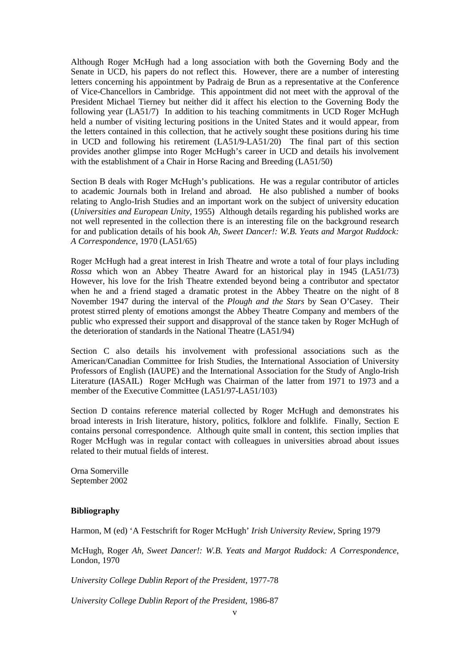Although Roger McHugh had a long association with both the Governing Body and the Senate in UCD, his papers do not reflect this. However, there are a number of interesting letters concerning his appointment by Padraig de Brun as a representative at the Conference of Vice-Chancellors in Cambridge. This appointment did not meet with the approval of the President Michael Tierney but neither did it affect his election to the Governing Body the following year (LA51/7) In addition to his teaching commitments in UCD Roger McHugh held a number of visiting lecturing positions in the United States and it would appear, from the letters contained in this collection, that he actively sought these positions during his time in UCD and following his retirement (LA51/9-LA51/20) The final part of this section provides another glimpse into Roger McHugh's career in UCD and details his involvement with the establishment of a Chair in Horse Racing and Breeding (LA51/50)

Section B deals with Roger McHugh's publications. He was a regular contributor of articles to academic Journals both in Ireland and abroad. He also published a number of books relating to Anglo-Irish Studies and an important work on the subject of university education (*Universities and European Unity*, 1955) Although details regarding his published works are not well represented in the collection there is an interesting file on the background research for and publication details of his book *Ah, Sweet Dancer!: W.B. Yeats and Margot Ruddock: A Correspondence*, 1970 (LA51/65)

Roger McHugh had a great interest in Irish Theatre and wrote a total of four plays including *Rossa* which won an Abbey Theatre Award for an historical play in 1945 (LA51/73) However, his love for the Irish Theatre extended beyond being a contributor and spectator when he and a friend staged a dramatic protest in the Abbey Theatre on the night of 8 November 1947 during the interval of the *Plough and the Stars* by Sean O'Casey. Their protest stirred plenty of emotions amongst the Abbey Theatre Company and members of the public who expressed their support and disapproval of the stance taken by Roger McHugh of the deterioration of standards in the National Theatre (LA51/94)

Section C also details his involvement with professional associations such as the American/Canadian Committee for Irish Studies, the International Association of University Professors of English (IAUPE) and the International Association for the Study of Anglo-Irish Literature (IASAIL) Roger McHugh was Chairman of the latter from 1971 to 1973 and a member of the Executive Committee (LA51/97-LA51/103)

Section D contains reference material collected by Roger McHugh and demonstrates his broad interests in Irish literature, history, politics, folklore and folklife. Finally, Section E contains personal correspondence. Although quite small in content, this section implies that Roger McHugh was in regular contact with colleagues in universities abroad about issues related to their mutual fields of interest.

Orna Somerville September 2002

#### **Bibliography**

Harmon, M (ed) 'A Festschrift for Roger McHugh' *Irish University Review*, Spring 1979

McHugh, Roger *Ah, Sweet Dancer!: W.B. Yeats and Margot Ruddock: A Correspondence*, London, 1970

*University College Dublin Report of the President,* 1977-78

*University College Dublin Report of the President*, 1986-87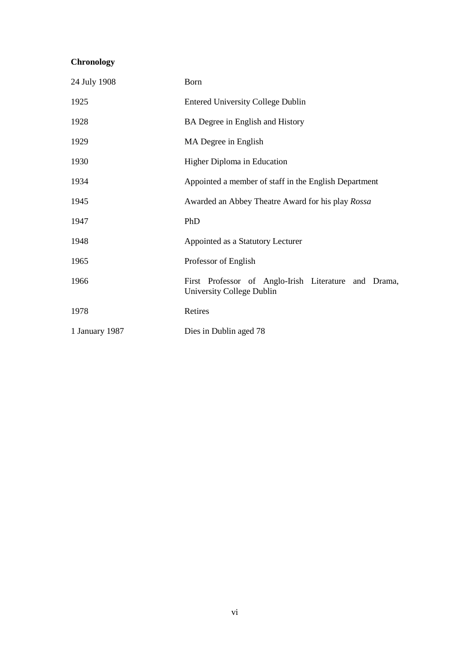## **Chronology**

| 24 July 1908   | Born                                                                              |
|----------------|-----------------------------------------------------------------------------------|
| 1925           | <b>Entered University College Dublin</b>                                          |
| 1928           | BA Degree in English and History                                                  |
| 1929           | MA Degree in English                                                              |
| 1930           | Higher Diploma in Education                                                       |
| 1934           | Appointed a member of staff in the English Department                             |
| 1945           | Awarded an Abbey Theatre Award for his play Rossa                                 |
| 1947           | PhD                                                                               |
| 1948           | Appointed as a Statutory Lecturer                                                 |
| 1965           | Professor of English                                                              |
| 1966           | First Professor of Anglo-Irish Literature and Drama,<br>University College Dublin |
| 1978           | Retires                                                                           |
| 1 January 1987 | Dies in Dublin aged 78                                                            |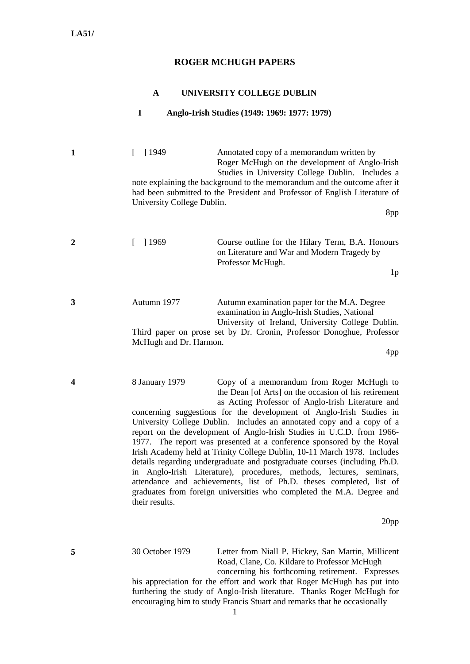### **ROGER MCHUGH PAPERS**

#### **A UNIVERSITY COLLEGE DUBLIN**

#### **I Anglo-Irish Studies (1949: 1969: 1977: 1979)**

**1 1949 Annotated copy of a memorandum written by** Roger McHugh on the development of Anglo-Irish Studies in University College Dublin. Includes a note explaining the background to the memorandum and the outcome after it had been submitted to the President and Professor of English Literature of University College Dublin.

8pp

**2** [ ] 1969 Course outline for the Hilary Term, B.A. Honours on Literature and War and Modern Tragedy by Professor McHugh.

 $1<sub>p</sub>$ 

**3** Autumn 1977 Autumn examination paper for the M.A. Degree examination in Anglo-Irish Studies, National University of Ireland, University College Dublin. Third paper on prose set by Dr. Cronin, Professor Donoghue, Professor McHugh and Dr. Harmon.

4pp

**4** 8 January 1979 Copy of a memorandum from Roger McHugh to the Dean [of Arts] on the occasion of his retirement as Acting Professor of Anglo-Irish Literature and concerning suggestions for the development of Anglo-Irish Studies in University College Dublin. Includes an annotated copy and a copy of a report on the development of Anglo-Irish Studies in U.C.D. from 1966- 1977. The report was presented at a conference sponsored by the Royal Irish Academy held at Trinity College Dublin, 10-11 March 1978. Includes details regarding undergraduate and postgraduate courses (including Ph.D. in Anglo-Irish Literature), procedures, methods, lectures, seminars, attendance and achievements, list of Ph.D. theses completed, list of graduates from foreign universities who completed the M.A. Degree and their results.

20pp

**5** 30 October 1979 Letter from Niall P. Hickey, San Martin, Millicent Road, Clane, Co. Kildare to Professor McHugh concerning his forthcoming retirement. Expresses

his appreciation for the effort and work that Roger McHugh has put into furthering the study of Anglo-Irish literature. Thanks Roger McHugh for encouraging him to study Francis Stuart and remarks that he occasionally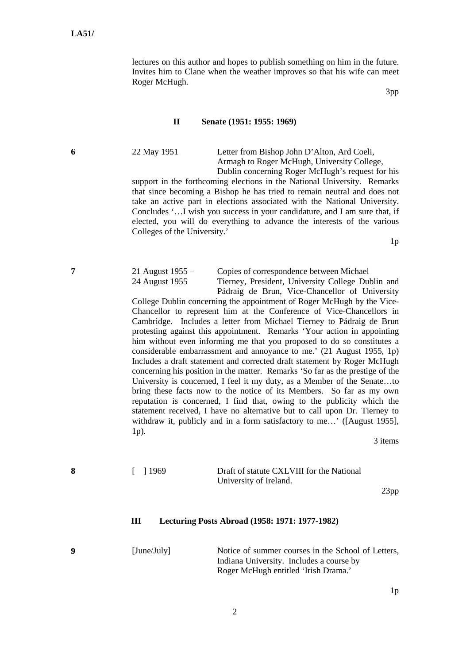lectures on this author and hopes to publish something on him in the future. Invites him to Clane when the weather improves so that his wife can meet Roger McHugh.

3pp

#### **II Senate (1951: 1955: 1969)**

1p).

**6** 22 May 1951 Letter from Bishop John D'Alton, Ard Coeli, Armagh to Roger McHugh, University College, Dublin concerning Roger McHugh's request for his

support in the forthcoming elections in the National University. Remarks that since becoming a Bishop he has tried to remain neutral and does not take an active part in elections associated with the National University. Concludes '…I wish you success in your candidature, and I am sure that, if elected, you will do everything to advance the interests of the various Colleges of the University.'

1p

**7** 21 August 1955 – Copies of correspondence between Michael 24 August 1955 Tierney, President, University College Dublin and Pádraig de Brun, Vice-Chancellor of University College Dublin concerning the appointment of Roger McHugh by the Vice-Chancellor to represent him at the Conference of Vice-Chancellors in Cambridge. Includes a letter from Michael Tierney to Pádraig de Brun protesting against this appointment. Remarks 'Your action in appointing him without even informing me that you proposed to do so constitutes a considerable embarrassment and annoyance to me.' (21 August 1955, 1p) Includes a draft statement and corrected draft statement by Roger McHugh concerning his position in the matter. Remarks 'So far as the prestige of the University is concerned, I feel it my duty, as a Member of the Senate…to bring these facts now to the notice of its Members. So far as my own reputation is concerned, I find that, owing to the publicity which the statement received, I have no alternative but to call upon Dr. Tierney to withdraw it, publicly and in a form satisfactory to me...' ([August 1955],

3 items

#### **8 1969 Draft of statute CXLVIII for the National** University of Ireland.

23pp

#### **III Lecturing Posts Abroad (1958: 1971: 1977-1982)**

**9** [June/July] Notice of summer courses in the School of Letters, Indiana University. Includes a course by Roger McHugh entitled 'Irish Drama.'

1p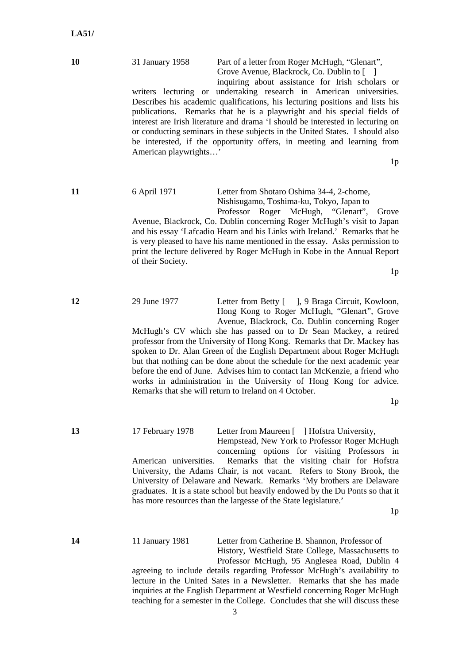## **10** 31 January 1958 Part of a letter from Roger McHugh, "Glenart", Grove Avenue, Blackrock, Co. Dublin to [ ]

inquiring about assistance for Irish scholars or writers lecturing or undertaking research in American universities. Describes his academic qualifications, his lecturing positions and lists his publications. Remarks that he is a playwright and his special fields of interest are Irish literature and drama 'I should be interested in lecturing on or conducting seminars in these subjects in the United States. I should also be interested, if the opportunity offers, in meeting and learning from American playwrights…'

 $1<sub>p</sub>$ 

#### **11** 6 April 1971 Letter from Shotaro Oshima 34-4, 2-chome, Nishisugamo, Toshima-ku, Tokyo, Japan to Professor Roger McHugh, "Glenart", Grove

Avenue, Blackrock, Co. Dublin concerning Roger McHugh's visit to Japan and his essay 'Lafcadio Hearn and his Links with Ireland.' Remarks that he is very pleased to have his name mentioned in the essay. Asks permission to print the lecture delivered by Roger McHugh in Kobe in the Annual Report of their Society.

1p

#### **12** 29 June 1977 Letter from Betty [ ], 9 Braga Circuit, Kowloon, Hong Kong to Roger McHugh, "Glenart", Grove Avenue, Blackrock, Co. Dublin concerning Roger McHugh's CV which she has passed on to Dr Sean Mackey, a retired professor from the University of Hong Kong. Remarks that Dr. Mackey has spoken to Dr. Alan Green of the English Department about Roger McHugh but that nothing can be done about the schedule for the next academic year

before the end of June. Advises him to contact Ian McKenzie, a friend who works in administration in the University of Hong Kong for advice. Remarks that she will return to Ireland on 4 October.

1p

**13** 17 February 1978 Letter from Maureen [ ] Hofstra University, Hempstead, New York to Professor Roger McHugh concerning options for visiting Professors in American universities. Remarks that the visiting chair for Hofstra University, the Adams Chair, is not vacant. Refers to Stony Brook, the University of Delaware and Newark. Remarks 'My brothers are Delaware graduates. It is a state school but heavily endowed by the Du Ponts so that it has more resources than the largesse of the State legislature.'

1p

**14** 11 January 1981 Letter from Catherine B. Shannon, Professor of History, Westfield State College, Massachusetts to Professor McHugh, 95 Anglesea Road, Dublin 4 agreeing to include details regarding Professor McHugh's availability to lecture in the United Sates in a Newsletter. Remarks that she has made inquiries at the English Department at Westfield concerning Roger McHugh teaching for a semester in the College. Concludes that she will discuss these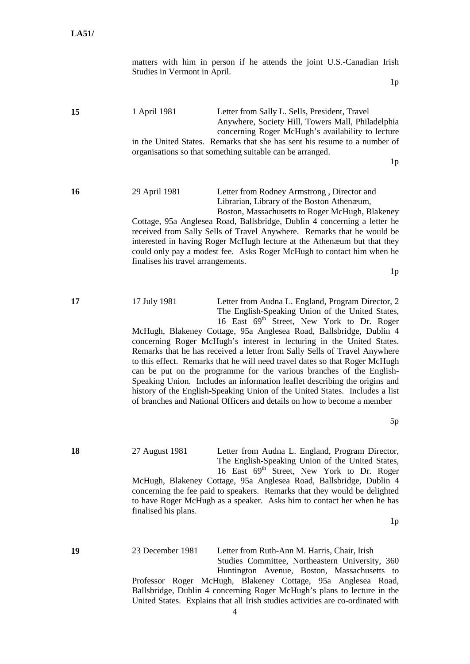matters with him in person if he attends the joint U.S.-Canadian Irish Studies in Vermont in April.

1p

**15** 1 April 1981 Letter from Sally L. Sells, President, Travel Anywhere, Society Hill, Towers Mall, Philadelphia concerning Roger McHugh's availability to lecture in the United States. Remarks that she has sent his resume to a number of organisations so that something suitable can be arranged.

 $1<sub>p</sub>$ 

**16** 29 April 1981 Letter from Rodney Armstrong , Director and Librarian, Library of the Boston Athenæum, Boston, Massachusetts to Roger McHugh, Blakeney

Cottage, 95a Anglesea Road, Ballsbridge, Dublin 4 concerning a letter he received from Sally Sells of Travel Anywhere. Remarks that he would be interested in having Roger McHugh lecture at the Athenæum but that they could only pay a modest fee. Asks Roger McHugh to contact him when he finalises his travel arrangements.

1p

**17** 17 July 1981 Letter from Audna L. England, Program Director, 2 The English-Speaking Union of the United States, 16 East  $69^{th}$  Street, New York to Dr. Roger McHugh, Blakeney Cottage, 95a Anglesea Road, Ballsbridge, Dublin 4 concerning Roger McHugh's interest in lecturing in the United States. Remarks that he has received a letter from Sally Sells of Travel Anywhere to this effect. Remarks that he will need travel dates so that Roger McHugh can be put on the programme for the various branches of the English-Speaking Union. Includes an information leaflet describing the origins and history of the English-Speaking Union of the United States. Includes a list of branches and National Officers and details on how to become a member

5p

**18** 27 August 1981 Letter from Audna L. England, Program Director, The English-Speaking Union of the United States, 16 East  $69^{th}$  Street, New York to Dr. Roger McHugh, Blakeney Cottage, 95a Anglesea Road, Ballsbridge, Dublin 4 concerning the fee paid to speakers. Remarks that they would be delighted to have Roger McHugh as a speaker. Asks him to contact her when he has finalised his plans.

1p

**19** 23 December 1981 Letter from Ruth-Ann M. Harris, Chair, Irish Studies Committee, Northeastern University, 360 Huntington Avenue, Boston, Massachusetts to Professor Roger McHugh, Blakeney Cottage, 95a Anglesea Road, Ballsbridge, Dublin 4 concerning Roger McHugh's plans to lecture in the United States. Explains that all Irish studies activities are co-ordinated with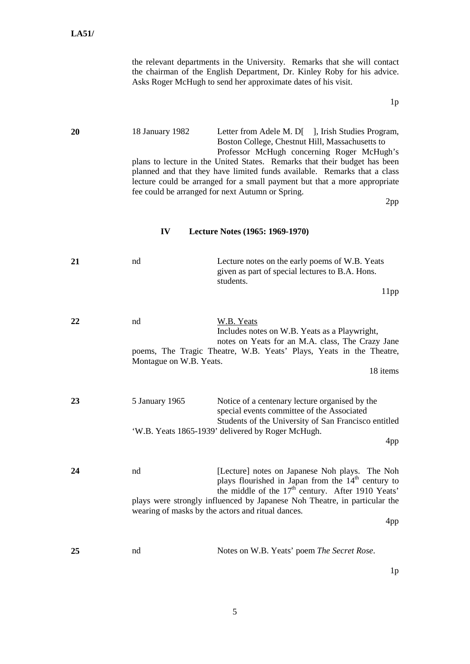|    |                               | the relevant departments in the University. Remarks that she will contact<br>the chairman of the English Department, Dr. Kinley Roby for his advice.<br>Asks Roger McHugh to send her approximate dates of his visit.                                                                                                                                                                                                                               |
|----|-------------------------------|-----------------------------------------------------------------------------------------------------------------------------------------------------------------------------------------------------------------------------------------------------------------------------------------------------------------------------------------------------------------------------------------------------------------------------------------------------|
|    |                               | 1p                                                                                                                                                                                                                                                                                                                                                                                                                                                  |
| 20 | 18 January 1982               | Letter from Adele M. D[ ], Irish Studies Program,<br>Boston College, Chestnut Hill, Massachusetts to<br>Professor McHugh concerning Roger McHugh's<br>plans to lecture in the United States. Remarks that their budget has been<br>planned and that they have limited funds available. Remarks that a class<br>lecture could be arranged for a small payment but that a more appropriate<br>fee could be arranged for next Autumn or Spring.<br>2pp |
|    | IV                            | Lecture Notes (1965: 1969-1970)                                                                                                                                                                                                                                                                                                                                                                                                                     |
| 21 | nd                            | Lecture notes on the early poems of W.B. Yeats<br>given as part of special lectures to B.A. Hons.<br>students.<br>11pp                                                                                                                                                                                                                                                                                                                              |
| 22 | nd<br>Montague on W.B. Yeats. | W.B. Yeats<br>Includes notes on W.B. Yeats as a Playwright,<br>notes on Yeats for an M.A. class, The Crazy Jane<br>poems, The Tragic Theatre, W.B. Yeats' Plays, Yeats in the Theatre,<br>18 items                                                                                                                                                                                                                                                  |
| 23 | 5 January 1965                | Notice of a centenary lecture organised by the<br>special events committee of the Associated<br>Students of the University of San Francisco entitled<br>'W.B. Yeats 1865-1939' delivered by Roger McHugh.<br>4pp                                                                                                                                                                                                                                    |
| 24 | nd                            | [Lecture] notes on Japanese Noh plays. The Noh<br>plays flourished in Japan from the $14th$ century to<br>the middle of the 17 <sup>th</sup> century. After 1910 Yeats'<br>plays were strongly influenced by Japanese Noh Theatre, in particular the<br>wearing of masks by the actors and ritual dances.<br>4pp                                                                                                                                    |
| 25 | nd                            | Notes on W.B. Yeats' poem The Secret Rose.                                                                                                                                                                                                                                                                                                                                                                                                          |

1p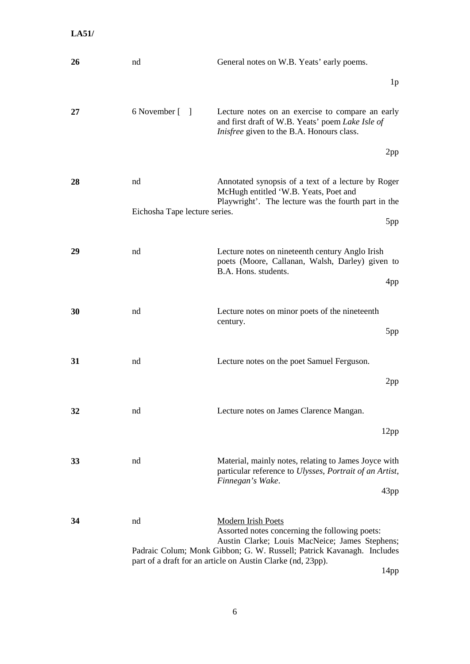| 26 | nd                            | General notes on W.B. Yeats' early poems.                                                                                                                                                                                                                             |
|----|-------------------------------|-----------------------------------------------------------------------------------------------------------------------------------------------------------------------------------------------------------------------------------------------------------------------|
|    |                               | 1 <sub>p</sub>                                                                                                                                                                                                                                                        |
| 27 | 6 November [ ]                | Lecture notes on an exercise to compare an early<br>and first draft of W.B. Yeats' poem Lake Isle of<br><i>Inisfree</i> given to the B.A. Honours class.                                                                                                              |
|    |                               | 2pp                                                                                                                                                                                                                                                                   |
| 28 | nd                            | Annotated synopsis of a text of a lecture by Roger<br>McHugh entitled 'W.B. Yeats, Poet and<br>Playwright'. The lecture was the fourth part in the                                                                                                                    |
|    | Eichosha Tape lecture series. | 5pp                                                                                                                                                                                                                                                                   |
| 29 | nd                            | Lecture notes on nineteenth century Anglo Irish<br>poets (Moore, Callanan, Walsh, Darley) given to<br>B.A. Hons. students.<br>4pp                                                                                                                                     |
| 30 | nd                            | Lecture notes on minor poets of the nineteenth<br>century.<br>5pp                                                                                                                                                                                                     |
| 31 | nd                            | Lecture notes on the poet Samuel Ferguson.<br>2pp                                                                                                                                                                                                                     |
| 32 | nd                            | Lecture notes on James Clarence Mangan.<br>12pp                                                                                                                                                                                                                       |
| 33 | nd                            | Material, mainly notes, relating to James Joyce with<br>particular reference to Ulysses, Portrait of an Artist,<br>Finnegan's Wake.<br>43pp                                                                                                                           |
| 34 | nd                            | <b>Modern Irish Poets</b><br>Assorted notes concerning the following poets:<br>Austin Clarke; Louis MacNeice; James Stephens;<br>Padraic Colum; Monk Gibbon; G. W. Russell; Patrick Kavanagh. Includes<br>part of a draft for an article on Austin Clarke (nd, 23pp). |

14pp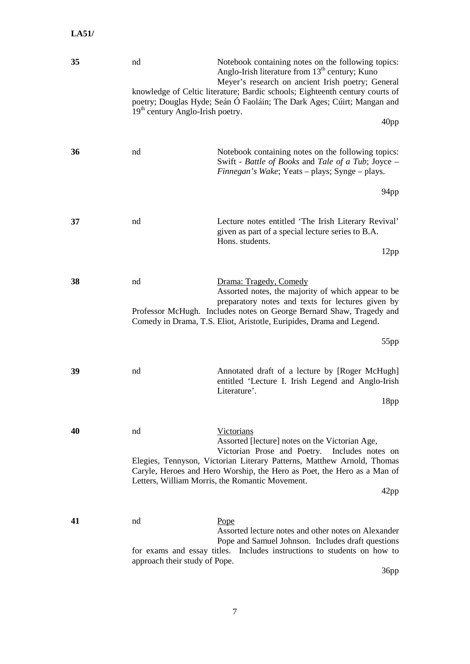| 35 | nd<br>19 <sup>th</sup> century Anglo-Irish poetry. | Notebook containing notes on the following topics:<br>Anglo-Irish literature from $13th$ century; Kuno<br>Meyer's research on ancient Irish poetry; General<br>knowledge of Celtic literature; Bardic schools; Eighteenth century courts of<br>poetry; Douglas Hyde; Seán Ó Faoláin; The Dark Ages; Cúirt; Mangan and<br>40 <sub>pp</sub> |
|----|----------------------------------------------------|-------------------------------------------------------------------------------------------------------------------------------------------------------------------------------------------------------------------------------------------------------------------------------------------------------------------------------------------|
| 36 | nd                                                 | Notebook containing notes on the following topics:<br>Swift - Battle of Books and Tale of a Tub; Joyce -<br>Finnegan's Wake; Yeats - plays; Synge - plays.<br>94pp                                                                                                                                                                        |
| 37 | nd                                                 | Lecture notes entitled 'The Irish Literary Revival'<br>given as part of a special lecture series to B.A.<br>Hons. students.<br>12pp                                                                                                                                                                                                       |
| 38 | nd                                                 | Drama: Tragedy, Comedy<br>Assorted notes, the majority of which appear to be<br>preparatory notes and texts for lectures given by<br>Professor McHugh. Includes notes on George Bernard Shaw, Tragedy and<br>Comedy in Drama, T.S. Eliot, Aristotle, Euripides, Drama and Legend.<br>55pp                                                 |
| 39 | nd                                                 | Annotated draft of a lecture by [Roger McHugh]<br>entitled 'Lecture I. Irish Legend and Anglo-Irish<br>Literature'.<br>18pp                                                                                                                                                                                                               |
| 40 | nd                                                 | Victorians<br>Assorted [lecture] notes on the Victorian Age,<br>Victorian Prose and Poetry. Includes notes on<br>Elegies, Tennyson, Victorian Literary Patterns, Matthew Arnold, Thomas<br>Caryle, Heroes and Hero Worship, the Hero as Poet, the Hero as a Man of<br>Letters, William Morris, the Romantic Movement.<br>42pp             |
| 41 | nd<br>approach their study of Pope.                | Pope<br>Assorted lecture notes and other notes on Alexander<br>Pope and Samuel Johnson. Includes draft questions<br>for exams and essay titles. Includes instructions to students on how to<br>36pp                                                                                                                                       |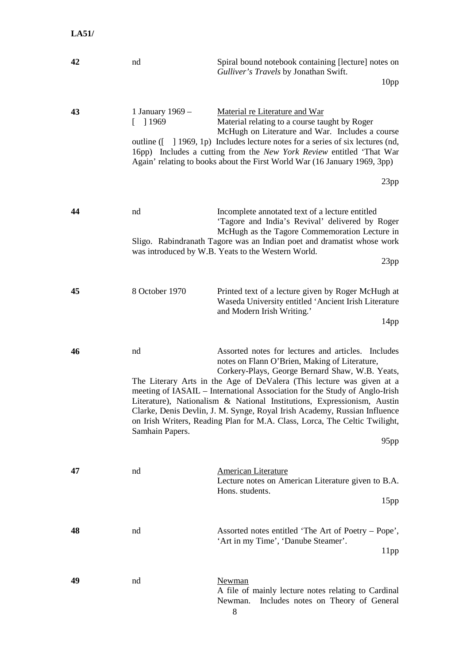| 42 | nd                                       | Spiral bound notebook containing [lecture] notes on<br>Gulliver's Travels by Jonathan Swift.<br>10 <sub>pp</sub>                                                                                                                                                                                                                                                                                                                                                                                                                                                        |
|----|------------------------------------------|-------------------------------------------------------------------------------------------------------------------------------------------------------------------------------------------------------------------------------------------------------------------------------------------------------------------------------------------------------------------------------------------------------------------------------------------------------------------------------------------------------------------------------------------------------------------------|
| 43 | 1 January 1969 -<br><sup>1969</sup><br>L | Material re Literature and War<br>Material relating to a course taught by Roger<br>McHugh on Literature and War. Includes a course<br>outline ([ ] 1969, 1p) Includes lecture notes for a series of six lectures (nd,<br>16pp) Includes a cutting from the New York Review entitled 'That War<br>Again' relating to books about the First World War (16 January 1969, 3pp)                                                                                                                                                                                              |
|    |                                          | 23pp                                                                                                                                                                                                                                                                                                                                                                                                                                                                                                                                                                    |
| 44 | nd                                       | Incomplete annotated text of a lecture entitled<br>'Tagore and India's Revival' delivered by Roger<br>McHugh as the Tagore Commemoration Lecture in<br>Sligo. Rabindranath Tagore was an Indian poet and dramatist whose work<br>was introduced by W.B. Yeats to the Western World.<br>23pp                                                                                                                                                                                                                                                                             |
| 45 | 8 October 1970                           | Printed text of a lecture given by Roger McHugh at<br>Waseda University entitled 'Ancient Irish Literature<br>and Modern Irish Writing.'<br>14 <sub>pp</sub>                                                                                                                                                                                                                                                                                                                                                                                                            |
| 46 | nd<br>Samhain Papers.                    | Assorted notes for lectures and articles. Includes<br>notes on Flann O'Brien, Making of Literature,<br>Corkery-Plays, George Bernard Shaw, W.B. Yeats,<br>The Literary Arts in the Age of DeValera (This lecture was given at a<br>meeting of IASAIL – International Association for the Study of Anglo-Irish<br>Literature), Nationalism & National Institutions, Expressionism, Austin<br>Clarke, Denis Devlin, J. M. Synge, Royal Irish Academy, Russian Influence<br>on Irish Writers, Reading Plan for M.A. Class, Lorca, The Celtic Twilight,<br>95 <sub>pp</sub> |
| 47 | nd                                       | <b>American Literature</b><br>Lecture notes on American Literature given to B.A.<br>Hons. students.<br>15pp                                                                                                                                                                                                                                                                                                                                                                                                                                                             |
| 48 | nd                                       | Assorted notes entitled 'The Art of Poetry – Pope',<br>'Art in my Time', 'Danube Steamer'.<br>11pp                                                                                                                                                                                                                                                                                                                                                                                                                                                                      |
| 49 | nd                                       | Newman<br>A file of mainly lecture notes relating to Cardinal<br>Newman.<br>Includes notes on Theory of General<br>8                                                                                                                                                                                                                                                                                                                                                                                                                                                    |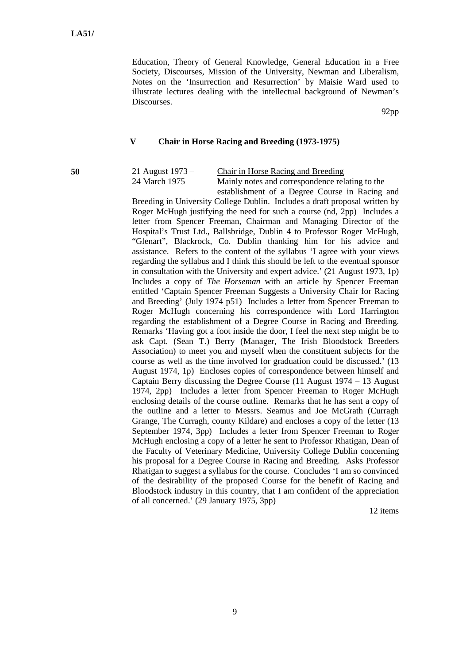Education, Theory of General Knowledge, General Education in a Free Society, Discourses, Mission of the University, Newman and Liberalism, Notes on the 'Insurrection and Resurrection' by Maisie Ward used to illustrate lectures dealing with the intellectual background of Newman's Discourses.

92pp

#### **V Chair in Horse Racing and Breeding (1973-1975)**

24 March 1975 Mainly notes and correspondence relating to the

**50** 21 August 1973 – Chair in Horse Racing and Breeding

establishment of a Degree Course in Racing and Breeding in University College Dublin. Includes a draft proposal written by Roger McHugh justifying the need for such a course (nd, 2pp) Includes a letter from Spencer Freeman, Chairman and Managing Director of the Hospital's Trust Ltd., Ballsbridge, Dublin 4 to Professor Roger McHugh, "Glenart", Blackrock, Co. Dublin thanking him for his advice and assistance. Refers to the content of the syllabus 'I agree with your views regarding the syllabus and I think this should be left to the eventual sponsor in consultation with the University and expert advice.' (21 August 1973, 1p) Includes a copy of *The Horseman* with an article by Spencer Freeman entitled 'Captain Spencer Freeman Suggests a University Chair for Racing and Breeding' (July 1974 p51) Includes a letter from Spencer Freeman to Roger McHugh concerning his correspondence with Lord Harrington regarding the establishment of a Degree Course in Racing and Breeding. Remarks 'Having got a foot inside the door, I feel the next step might be to ask Capt. (Sean T.) Berry (Manager, The Irish Bloodstock Breeders Association) to meet you and myself when the constituent subjects for the course as well as the time involved for graduation could be discussed.' (13 August 1974, 1p) Encloses copies of correspondence between himself and Captain Berry discussing the Degree Course (11 August 1974 – 13 August 1974, 2pp) Includes a letter from Spencer Freeman to Roger McHugh enclosing details of the course outline. Remarks that he has sent a copy of the outline and a letter to Messrs. Seamus and Joe McGrath (Curragh Grange, The Curragh, county Kildare) and encloses a copy of the letter (13 September 1974, 3pp) Includes a letter from Spencer Freeman to Roger McHugh enclosing a copy of a letter he sent to Professor Rhatigan, Dean of the Faculty of Veterinary Medicine, University College Dublin concerning his proposal for a Degree Course in Racing and Breeding. Asks Professor Rhatigan to suggest a syllabus for the course. Concludes 'I am so convinced of the desirability of the proposed Course for the benefit of Racing and Bloodstock industry in this country, that I am confident of the appreciation of all concerned.' (29 January 1975, 3pp)

12 items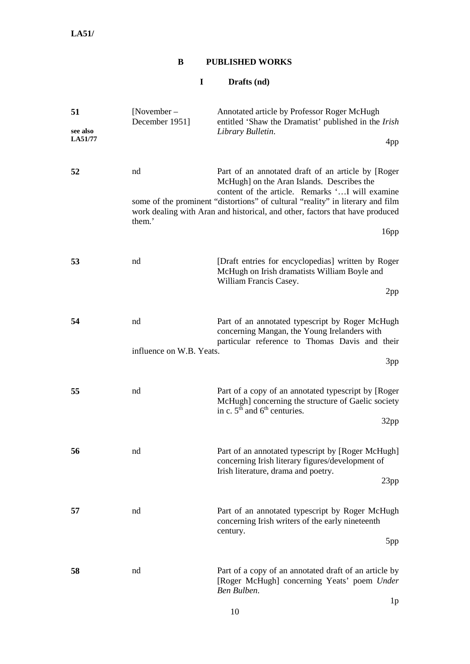## **B PUBLISHED WORKS**

## **I Drafts (nd)**

| 51<br>see also<br>LA51/77 | [November $-$<br>December 1951] | Annotated article by Professor Roger McHugh<br>entitled 'Shaw the Dramatist' published in the <i>Irish</i><br>Library Bulletin.<br>4pp                                                                                                                                                                                         |
|---------------------------|---------------------------------|--------------------------------------------------------------------------------------------------------------------------------------------------------------------------------------------------------------------------------------------------------------------------------------------------------------------------------|
|                           |                                 |                                                                                                                                                                                                                                                                                                                                |
| 52                        | nd<br>them.'                    | Part of an annotated draft of an article by [Roger<br>McHugh] on the Aran Islands. Describes the<br>content of the article. Remarks ' I will examine<br>some of the prominent "distortions" of cultural "reality" in literary and film<br>work dealing with Aran and historical, and other, factors that have produced<br>16pp |
|                           |                                 |                                                                                                                                                                                                                                                                                                                                |
| 53                        | nd                              | [Draft entries for encyclopedias] written by Roger<br>McHugh on Irish dramatists William Boyle and<br>William Francis Casey.<br>2pp                                                                                                                                                                                            |
| 54                        | nd<br>influence on W.B. Yeats.  | Part of an annotated typescript by Roger McHugh<br>concerning Mangan, the Young Irelanders with<br>particular reference to Thomas Davis and their                                                                                                                                                                              |
|                           |                                 | 3pp                                                                                                                                                                                                                                                                                                                            |
| 55                        | nd                              | Part of a copy of an annotated typescript by [Roger<br>McHugh] concerning the structure of Gaelic society<br>in c. $5th$ and $6th$ centuries.<br>32pp                                                                                                                                                                          |
| 56                        | nd                              | Part of an annotated typescript by [Roger McHugh]<br>concerning Irish literary figures/development of<br>Irish literature, drama and poetry.<br>23pp                                                                                                                                                                           |
| 57                        | nd                              | Part of an annotated typescript by Roger McHugh<br>concerning Irish writers of the early nineteenth<br>century.<br>5pp                                                                                                                                                                                                         |
| 58                        | nd                              | Part of a copy of an annotated draft of an article by<br>[Roger McHugh] concerning Yeats' poem Under<br>Ben Bulben.                                                                                                                                                                                                            |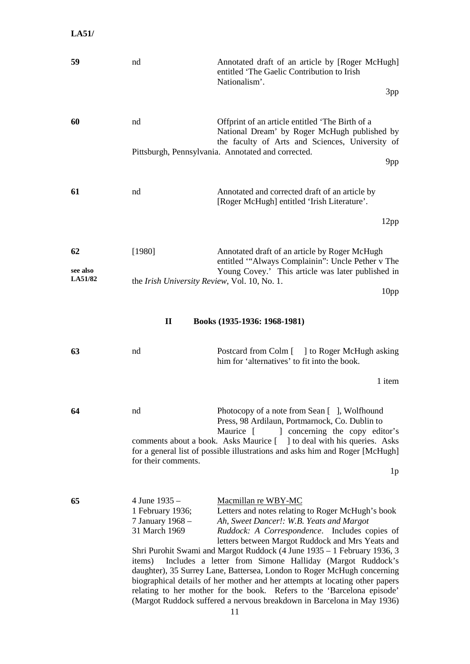| 59                  | nd                                                                               | Annotated draft of an article by [Roger McHugh]<br>entitled 'The Gaelic Contribution to Irish<br>Nationalism'.                                                                                                                                                                                                                                                   |
|---------------------|----------------------------------------------------------------------------------|------------------------------------------------------------------------------------------------------------------------------------------------------------------------------------------------------------------------------------------------------------------------------------------------------------------------------------------------------------------|
|                     |                                                                                  | 3pp                                                                                                                                                                                                                                                                                                                                                              |
| 60                  | nd                                                                               | Offprint of an article entitled 'The Birth of a<br>National Dream' by Roger McHugh published by<br>the faculty of Arts and Sciences, University of                                                                                                                                                                                                               |
|                     |                                                                                  | Pittsburgh, Pennsylvania. Annotated and corrected.<br>9pp                                                                                                                                                                                                                                                                                                        |
| 61                  | nd                                                                               | Annotated and corrected draft of an article by<br>[Roger McHugh] entitled 'Irish Literature'.                                                                                                                                                                                                                                                                    |
|                     |                                                                                  | 12pp                                                                                                                                                                                                                                                                                                                                                             |
|                     |                                                                                  |                                                                                                                                                                                                                                                                                                                                                                  |
| 62                  | [1980]                                                                           | Annotated draft of an article by Roger McHugh<br>entitled "Always Complainin": Uncle Pether v The                                                                                                                                                                                                                                                                |
| see also<br>LA51/82 | the <i>Irish University Review</i> , Vol. 10, No. 1.                             | Young Covey.' This article was later published in                                                                                                                                                                                                                                                                                                                |
|                     |                                                                                  | 10 <sub>pp</sub>                                                                                                                                                                                                                                                                                                                                                 |
|                     | $\mathbf{I}$                                                                     | Books (1935-1936: 1968-1981)                                                                                                                                                                                                                                                                                                                                     |
|                     |                                                                                  |                                                                                                                                                                                                                                                                                                                                                                  |
| 63                  | nd                                                                               | Postcard from Colm [ ] to Roger McHugh asking<br>him for 'alternatives' to fit into the book.                                                                                                                                                                                                                                                                    |
|                     |                                                                                  | 1 item                                                                                                                                                                                                                                                                                                                                                           |
| 64                  | nd                                                                               | Photocopy of a note from Sean [], Wolfhound<br>Press, 98 Ardilaun, Portmarnock, Co. Dublin to                                                                                                                                                                                                                                                                    |
|                     |                                                                                  | Maurice [<br>concerning the copy editor's<br>comments about a book. Asks Maurice [ ] to deal with his queries. Asks                                                                                                                                                                                                                                              |
|                     | for their comments.                                                              | for a general list of possible illustrations and asks him and Roger [McHugh]<br>1 <sub>p</sub>                                                                                                                                                                                                                                                                   |
|                     |                                                                                  |                                                                                                                                                                                                                                                                                                                                                                  |
| 65                  | 4 June 1935 -<br>1 February 1936;<br>7 January 1968 -<br>31 March 1969<br>items) | Macmillan re WBY-MC<br>Letters and notes relating to Roger McHugh's book<br>Ah, Sweet Dancer!: W.B. Yeats and Margot<br>Ruddock: A Correspondence. Includes copies of<br>letters between Margot Ruddock and Mrs Yeats and<br>Shri Purohit Swami and Margot Ruddock (4 June 1935 – 1 February 1936, 3<br>Includes a letter from Simone Halliday (Margot Ruddock's |
|                     |                                                                                  | daughter), 35 Surrey Lane, Battersea, London to Roger McHugh concerning<br>biographical details of her mother and her attempts at locating other papers<br>relating to her mother for the book. Refers to the 'Barcelona episode'<br>(Margot Ruddock suffered a nervous breakdown in Barcelona in May 1936)                                                      |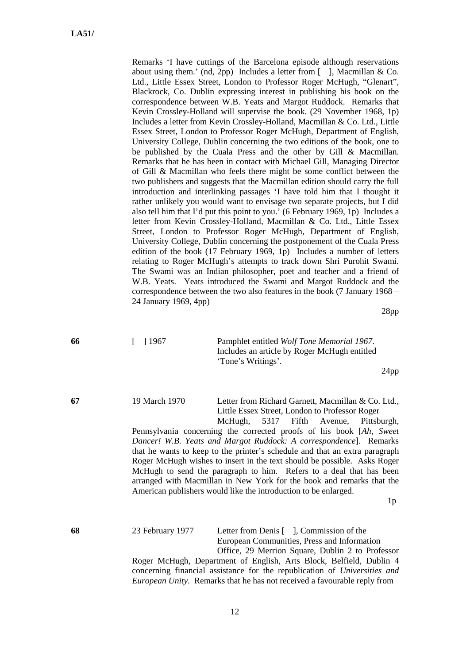| Remarks 'I have cuttings of the Barcelona episode although reservations         |
|---------------------------------------------------------------------------------|
| about using them.' (nd, 2pp) Includes a letter from $[$ ], Macmillan & Co.      |
| Ltd., Little Essex Street, London to Professor Roger McHugh, "Glenart",         |
| Blackrock, Co. Dublin expressing interest in publishing his book on the         |
| correspondence between W.B. Yeats and Margot Ruddock. Remarks that              |
| Kevin Crossley-Holland will supervise the book. (29 November 1968, 1p)          |
| Includes a letter from Kevin Crossley-Holland, Macmillan & Co. Ltd., Little     |
| Essex Street, London to Professor Roger McHugh, Department of English,          |
| University College, Dublin concerning the two editions of the book, one to      |
| be published by the Cuala Press and the other by Gill & Macmillan.              |
| Remarks that he has been in contact with Michael Gill, Managing Director        |
| of Gill & Macmillan who feels there might be some conflict between the          |
| two publishers and suggests that the Macmillan edition should carry the full    |
| introduction and interlinking passages 'I have told him that I thought it       |
| rather unlikely you would want to envisage two separate projects, but I did     |
| also tell him that I'd put this point to you.' (6 February 1969, 1p) Includes a |
| letter from Kevin Crossley-Holland, Macmillan & Co. Ltd., Little Essex          |
| Street, London to Professor Roger McHugh, Department of English,                |
| University College, Dublin concerning the postponement of the Cuala Press       |
| edition of the book (17 February 1969, 1p) Includes a number of letters         |
| relating to Roger McHugh's attempts to track down Shri Purohit Swami.           |
| The Swami was an Indian philosopher, poet and teacher and a friend of           |
| W.B. Yeats. Yeats introduced the Swami and Margot Ruddock and the               |
| correspondence between the two also features in the book (7 January 1968 -      |
| 24 January 1969, 4pp)                                                           |

28pp

**66** [ ] 1967 Pamphlet entitled *Wolf Tone Memorial 1967*. Includes an article by Roger McHugh entitled 'Tone's Writings'.

24pp

**67** 19 March 1970 Letter from Richard Garnett, Macmillan & Co. Ltd., Little Essex Street, London to Professor Roger

McHugh, 5317 Fifth Avenue, Pittsburgh, Pennsylvania concerning the corrected proofs of his book [*Ah, Sweet Dancer! W.B. Yeats and Margot Ruddock: A correspondence*]. Remarks that he wants to keep to the printer's schedule and that an extra paragraph Roger McHugh wishes to insert in the text should be possible. Asks Roger McHugh to send the paragraph to him. Refers to a deal that has been arranged with Macmillan in New York for the book and remarks that the American publishers would like the introduction to be enlarged.

 $1<sub>p</sub>$ 

**68** 23 February 1977 Letter from Denis [ ], Commission of the European Communities, Press and Information Office, 29 Merrion Square, Dublin 2 to Professor Roger McHugh, Department of English, Arts Block, Belfield, Dublin 4 concerning financial assistance for the republication of *Universities and European Unity*. Remarks that he has not received a favourable reply from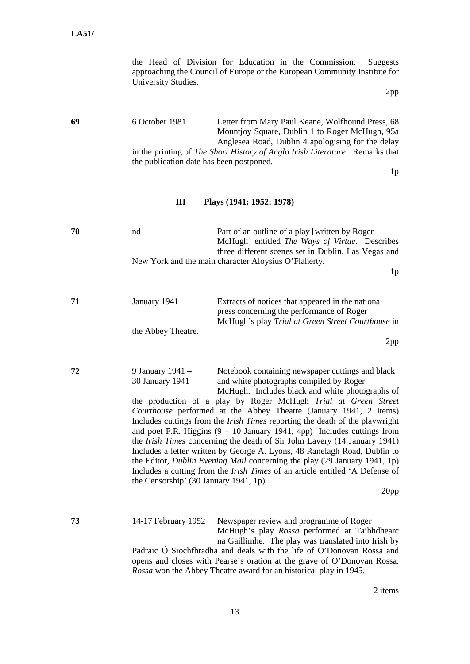the Head of Division for Education in the Commission. Suggests approaching the Council of Europe or the European Community Institute for University Studies.

2pp

**69** 6 October 1981 Letter from Mary Paul Keane, Wolfhound Press, 68 Mountjoy Square, Dublin 1 to Roger McHugh, 95a Anglesea Road, Dublin 4 apologising for the delay in the printing of *The Short History of Anglo Irish Literature*. Remarks that the publication date has been postponed.

 $1<sub>p</sub>$ 

#### **III Plays (1941: 1952: 1978)**

| nd | Part of an outline of a play [written by Roger] |                                                                                                                                                                       |
|----|-------------------------------------------------|-----------------------------------------------------------------------------------------------------------------------------------------------------------------------|
|    |                                                 |                                                                                                                                                                       |
|    |                                                 |                                                                                                                                                                       |
|    |                                                 |                                                                                                                                                                       |
|    |                                                 | 1p                                                                                                                                                                    |
|    |                                                 | McHugh] entitled <i>The Ways of Virtue</i> . Describes<br>three different scenes set in Dublin, Las Vegas and<br>New York and the main character Aloysius O'Flaherty. |

| 71 | January 1941       | Extracts of notices that appeared in the national        |
|----|--------------------|----------------------------------------------------------|
|    |                    | press concerning the performance of Roger                |
|    |                    | McHugh's play <i>Trial at Green Street Courthouse</i> in |
|    | the Abbey Theatre. |                                                          |

2pp

**72** 9 January 1941 – Notebook containing newspaper cuttings and black 30 January 1941 and white photographs compiled by Roger

McHugh. Includes black and white photographs of the production of a play by Roger McHugh *Trial at Green Street Courthouse* performed at the Abbey Theatre (January 1941, 2 items) Includes cuttings from the *Irish Times* reporting the death of the playwright and poet F.R. Higgins  $(9 - 10)$  January 1941, 4pp) Includes cuttings from the *Irish Times* concerning the death of Sir John Lavery (14 January 1941) Includes a letter written by George A. Lyons, 48 Ranelagh Road, Dublin to the Editor, *Dublin Evening Mail* concerning the play (29 January 1941, 1p) Includes a cutting from the *Irish Times* of an article entitled 'A Defense of the Censorship' (30 January 1941, 1p)

20pp

**73** 14-17 February 1952 Newspaper review and programme of Roger McHugh's play *Rossa* performed at Taibhdhearc na Gaillimhe. The play was translated into Irish by Padraic Ó Siochfhradha and deals with the life of O'Donovan Rossa and opens and closes with Pearse's oration at the grave of O'Donovan Rossa. *Rossa* won the Abbey Theatre award for an historical play in 1945.

2 items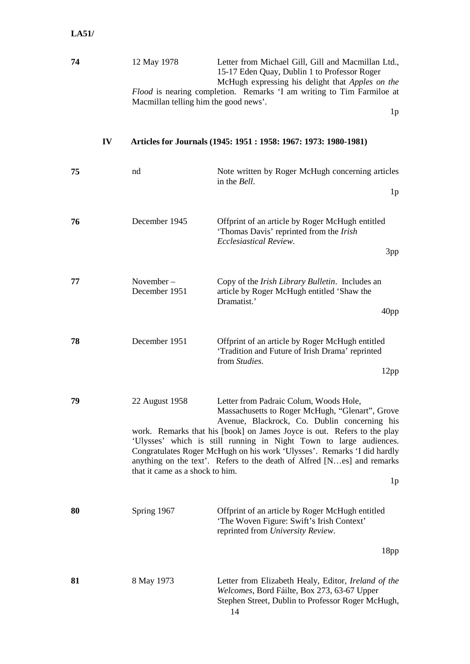### **74** 12 May 1978 Letter from Michael Gill, Gill and Macmillan Ltd., 15-17 Eden Quay, Dublin 1 to Professor Roger McHugh expressing his delight that *Apples on the Flood* is nearing completion. Remarks 'I am writing to Tim Farmiloe at Macmillan telling him the good news'. 1p

**IV Articles for Journals (1945: 1951 : 1958: 1967: 1973: 1980-1981)**

| 75 | nd                                                | Note written by Roger McHugh concerning articles<br>in the <i>Bell</i> .<br>1 <sub>p</sub>                                                                                                                                                                                                                                                                                                                                                                        |
|----|---------------------------------------------------|-------------------------------------------------------------------------------------------------------------------------------------------------------------------------------------------------------------------------------------------------------------------------------------------------------------------------------------------------------------------------------------------------------------------------------------------------------------------|
| 76 | December 1945                                     | Offprint of an article by Roger McHugh entitled<br>'Thomas Davis' reprinted from the Irish<br>Ecclesiastical Review.<br>3pp                                                                                                                                                                                                                                                                                                                                       |
| 77 | November-<br>December 1951                        | Copy of the <i>Irish Library Bulletin</i> . Includes an<br>article by Roger McHugh entitled 'Shaw the<br>Dramatist.'<br>40 <sub>pp</sub>                                                                                                                                                                                                                                                                                                                          |
| 78 | December 1951                                     | Offprint of an article by Roger McHugh entitled<br>'Tradition and Future of Irish Drama' reprinted<br>from <i>Studies</i> .<br>12pp                                                                                                                                                                                                                                                                                                                               |
| 79 | 22 August 1958<br>that it came as a shock to him. | Letter from Padraic Colum, Woods Hole,<br>Massachusetts to Roger McHugh, "Glenart", Grove<br>Avenue, Blackrock, Co. Dublin concerning his<br>work. Remarks that his [book] on James Joyce is out. Refers to the play<br>'Ulysses' which is still running in Night Town to large audiences.<br>Congratulates Roger McHugh on his work 'Ulysses'. Remarks 'I did hardly<br>anything on the text'. Refers to the death of Alfred [Nes] and remarks<br>1 <sub>p</sub> |
| 80 | Spring 1967                                       | Offprint of an article by Roger McHugh entitled<br>'The Woven Figure: Swift's Irish Context'<br>reprinted from University Review.                                                                                                                                                                                                                                                                                                                                 |
|    |                                                   | 18 <sub>pp</sub>                                                                                                                                                                                                                                                                                                                                                                                                                                                  |
| 81 | 8 May 1973                                        | Letter from Elizabeth Healy, Editor, Ireland of the<br>Welcomes, Bord Fáilte, Box 273, 63-67 Upper<br>Stephen Street, Dublin to Professor Roger McHugh,<br>14                                                                                                                                                                                                                                                                                                     |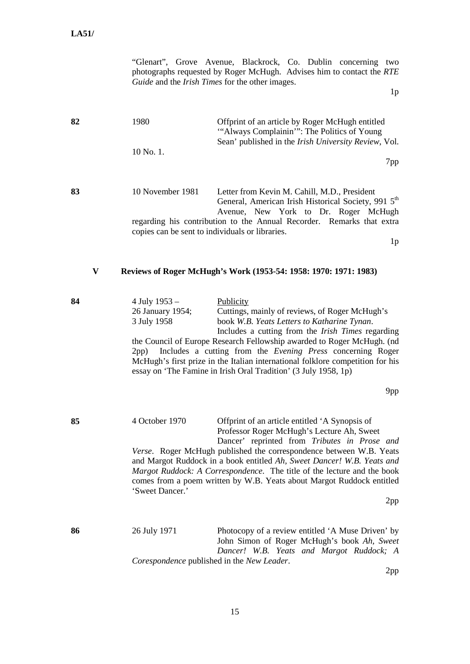|    | "Glenart", Grove Avenue, Blackrock, Co. Dublin concerning two<br>photographs requested by Roger McHugh. Advises him to contact the RTE<br>Guide and the Irish Times for the other images.<br>1 <sub>p</sub>                                                                                                                                                                                                                                                                                                                     |
|----|---------------------------------------------------------------------------------------------------------------------------------------------------------------------------------------------------------------------------------------------------------------------------------------------------------------------------------------------------------------------------------------------------------------------------------------------------------------------------------------------------------------------------------|
| 82 | 1980<br>Offprint of an article by Roger McHugh entitled<br>"Always Complainin": The Politics of Young<br>Sean' published in the Irish University Review, Vol.                                                                                                                                                                                                                                                                                                                                                                   |
|    | 10 No. 1.<br>7pp                                                                                                                                                                                                                                                                                                                                                                                                                                                                                                                |
| 83 | 10 November 1981<br>Letter from Kevin M. Cahill, M.D., President<br>General, American Irish Historical Society, 991 5 <sup>th</sup>                                                                                                                                                                                                                                                                                                                                                                                             |
|    | Avenue, New York to Dr. Roger McHugh<br>regarding his contribution to the Annual Recorder. Remarks that extra<br>copies can be sent to individuals or libraries.                                                                                                                                                                                                                                                                                                                                                                |
|    | 1 <sub>p</sub>                                                                                                                                                                                                                                                                                                                                                                                                                                                                                                                  |
| V  | Reviews of Roger McHugh's Work (1953-54: 1958: 1970: 1971: 1983)                                                                                                                                                                                                                                                                                                                                                                                                                                                                |
| 84 | 4 July 1953 -<br>Publicity<br>Cuttings, mainly of reviews, of Roger McHugh's<br>26 January 1954;<br>3 July 1958<br>book W.B. Yeats Letters to Katharine Tynan.<br>Includes a cutting from the <i>Irish Times</i> regarding<br>the Council of Europe Research Fellowship awarded to Roger McHugh. (nd<br>Includes a cutting from the Evening Press concerning Roger<br>2pp)<br>McHugh's first prize in the Italian international folklore competition for his<br>essay on 'The Famine in Irish Oral Tradition' (3 July 1958, 1p) |
|    | 9pp                                                                                                                                                                                                                                                                                                                                                                                                                                                                                                                             |
| 85 | 4 October 1970<br>Offprint of an article entitled 'A Synopsis of<br>Professor Roger McHugh's Lecture Ah, Sweet<br>Dancer' reprinted from Tributes in Prose and<br>Verse. Roger McHugh published the correspondence between W.B. Yeats<br>and Margot Ruddock in a book entitled Ah, Sweet Dancer! W.B. Yeats and<br>Margot Ruddock: A Correspondence. The title of the lecture and the book<br>comes from a poem written by W.B. Yeats about Margot Ruddock entitled<br>'Sweet Dancer.'<br>2pp                                   |
|    |                                                                                                                                                                                                                                                                                                                                                                                                                                                                                                                                 |
| 86 | 26 July 1971<br>Photocopy of a review entitled 'A Muse Driven' by<br>John Simon of Roger McHugh's book Ah, Sweet<br>Dancer! W.B. Yeats and Margot Ruddock; A<br>Corespondence published in the New Leader.                                                                                                                                                                                                                                                                                                                      |
|    | 2pp                                                                                                                                                                                                                                                                                                                                                                                                                                                                                                                             |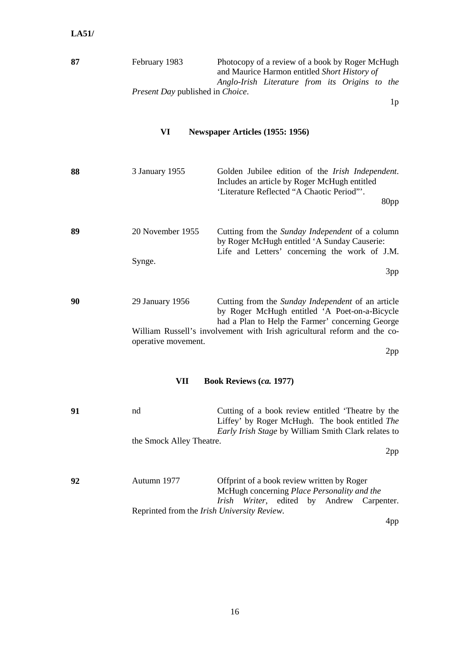| 87 | February 1983                                   | Photocopy of a review of a book by Roger McHugh |  |  |  |
|----|-------------------------------------------------|-------------------------------------------------|--|--|--|
|    |                                                 | and Maurice Harmon entitled Short History of    |  |  |  |
|    |                                                 | Anglo-Irish Literature from its Origins to the  |  |  |  |
|    | <i>Present Day</i> published in <i>Choice</i> . |                                                 |  |  |  |

1p

## **VI Newspaper Articles (1955: 1956)**

| 88 | 3 January 1955      | Golden Jubilee edition of the <i>Irish Independent</i> .<br>Includes an article by Roger McHugh entitled<br>'Literature Reflected "A Chaotic Period"'.<br>80pp |
|----|---------------------|----------------------------------------------------------------------------------------------------------------------------------------------------------------|
| 89 | 20 November 1955    | Cutting from the <i>Sunday Independent</i> of a column<br>by Roger McHugh entitled 'A Sunday Causerie:<br>Life and Letters' concerning the work of J.M.        |
|    | Synge.              | 3pp                                                                                                                                                            |
| 90 | 29 January 1956     | Cutting from the Sunday Independent of an article<br>by Roger McHugh entitled 'A Poet-on-a-Bicycle<br>had a Plan to Help the Farmer' concerning George         |
|    | operative movement. | William Russell's involvement with Irish agricultural reform and the co-                                                                                       |

2pp

## **VII Book Reviews (***ca.* **1977)**

| 91 | nd                       | Cutting of a book review entitled 'Theatre by the          |
|----|--------------------------|------------------------------------------------------------|
|    |                          | Liffey' by Roger McHugh. The book entitled The             |
|    |                          | <i>Early Irish Stage</i> by William Smith Clark relates to |
|    | the Smock Alley Theatre. |                                                            |
|    |                          | 2pp                                                        |

| 92 | Autumn 1977                                         | Offprint of a book review written by Roger |  |  |                                                    |                                                   |  |
|----|-----------------------------------------------------|--------------------------------------------|--|--|----------------------------------------------------|---------------------------------------------------|--|
|    |                                                     |                                            |  |  | McHugh concerning <i>Place Personality and the</i> |                                                   |  |
|    |                                                     |                                            |  |  |                                                    | <i>Irish Writer</i> , edited by Andrew Carpenter. |  |
|    | Reprinted from the <i>Irish University Review</i> . |                                            |  |  |                                                    |                                                   |  |

4pp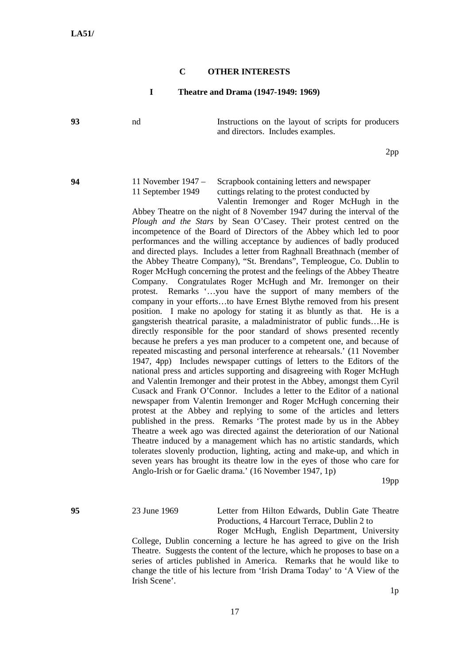#### **C OTHER INTERESTS**

#### **I Theatre and Drama (1947-1949: 1969)**

**93** nd Instructions on the layout of scripts for producers and directors. Includes examples.

2pp

**94** 11 November 1947 – Scrapbook containing letters and newspaper 11 September 1949 cuttings relating to the protest conducted by

Valentin Iremonger and Roger McHugh in the Abbey Theatre on the night of 8 November 1947 during the interval of the *Plough and the Stars* by Sean O'Casey. Their protest centred on the incompetence of the Board of Directors of the Abbey which led to poor performances and the willing acceptance by audiences of badly produced and directed plays. Includes a letter from Raghnall Breathnach (member of the Abbey Theatre Company), "St. Brendans", Templeogue, Co. Dublin to Roger McHugh concerning the protest and the feelings of the Abbey Theatre Company. Congratulates Roger McHugh and Mr. Iremonger on their protest. Remarks '…you have the support of many members of the company in your efforts…to have Ernest Blythe removed from his present position. I make no apology for stating it as bluntly as that. He is a gangsterish theatrical parasite, a maladministrator of public funds…He is directly responsible for the poor standard of shows presented recently because he prefers a yes man producer to a competent one, and because of repeated miscasting and personal interference at rehearsals.' (11 November 1947, 4pp) Includes newspaper cuttings of letters to the Editors of the national press and articles supporting and disagreeing with Roger McHugh and Valentin Iremonger and their protest in the Abbey, amongst them Cyril Cusack and Frank O'Connor. Includes a letter to the Editor of a national newspaper from Valentin Iremonger and Roger McHugh concerning their protest at the Abbey and replying to some of the articles and letters published in the press. Remarks 'The protest made by us in the Abbey Theatre a week ago was directed against the deterioration of our National Theatre induced by a management which has no artistic standards, which tolerates slovenly production, lighting, acting and make-up, and which in seven years has brought its theatre low in the eyes of those who care for Anglo-Irish or for Gaelic drama.' (16 November 1947, 1p)

19pp

**95** 23 June 1969 Letter from Hilton Edwards, Dublin Gate Theatre Productions, 4 Harcourt Terrace, Dublin 2 to

> Roger McHugh, English Department, University College, Dublin concerning a lecture he has agreed to give on the Irish Theatre. Suggests the content of the lecture, which he proposes to base on a series of articles published in America. Remarks that he would like to change the title of his lecture from 'Irish Drama Today' to 'A View of the Irish Scene'.

> > 1p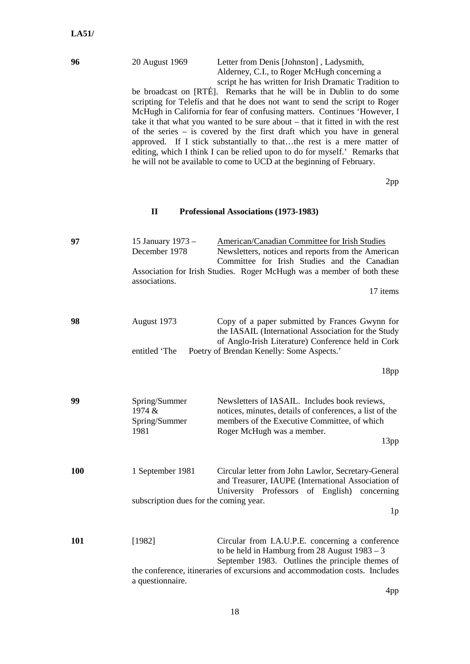#### **96** 20 August 1969 Letter from Denis [Johnston] , Ladysmith, Alderney, C.I., to Roger McHugh concerning a script he has written for Irish Dramatic Tradition to

be broadcast on [RTÉ]. Remarks that he will be in Dublin to do some scripting for Telefís and that he does not want to send the script to Roger McHugh in California for fear of confusing matters. Continues 'However, I take it that what you wanted to be sure about – that it fitted in with the rest of the series – is covered by the first draft which you have in general approved. If I stick substantially to that…the rest is a mere matter of editing, which I think I can be relied upon to do for myself.' Remarks that he will not be available to come to UCD at the beginning of February.

2pp

#### **II Professional Associations (1973-1983)**

| 97         | 15 January 1973 -<br>December 1978<br>associations.        | <b>American/Canadian Committee for Irish Studies</b><br>Newsletters, notices and reports from the American<br>Committee for Irish Studies and the Canadian<br>Association for Irish Studies. Roger McHugh was a member of both these<br>17 items |
|------------|------------------------------------------------------------|--------------------------------------------------------------------------------------------------------------------------------------------------------------------------------------------------------------------------------------------------|
| 98         | August 1973<br>entitled 'The                               | Copy of a paper submitted by Frances Gwynn for<br>the IASAIL (International Association for the Study<br>of Anglo-Irish Literature) Conference held in Cork<br>Poetry of Brendan Kenelly: Some Aspects.'                                         |
|            |                                                            | 18 <sub>pp</sub>                                                                                                                                                                                                                                 |
| 99         | Spring/Summer<br>1974 &<br>Spring/Summer<br>1981           | Newsletters of IASAIL. Includes book reviews,<br>notices, minutes, details of conferences, a list of the<br>members of the Executive Committee, of which<br>Roger McHugh was a member.<br>13pp                                                   |
| <b>100</b> | 1 September 1981<br>subscription dues for the coming year. | Circular letter from John Lawlor, Secretary-General<br>and Treasurer, IAUPE (International Association of<br>University Professors of English) concerning<br>1 <sub>p</sub>                                                                      |
| 101        | [1982]<br>a questionnaire.                                 | Circular from I.A.U.P.E. concerning a conference<br>to be held in Hamburg from 28 August $1983 - 3$<br>September 1983. Outlines the principle themes of<br>the conference, itineraries of excursions and accommodation costs. Includes           |

4pp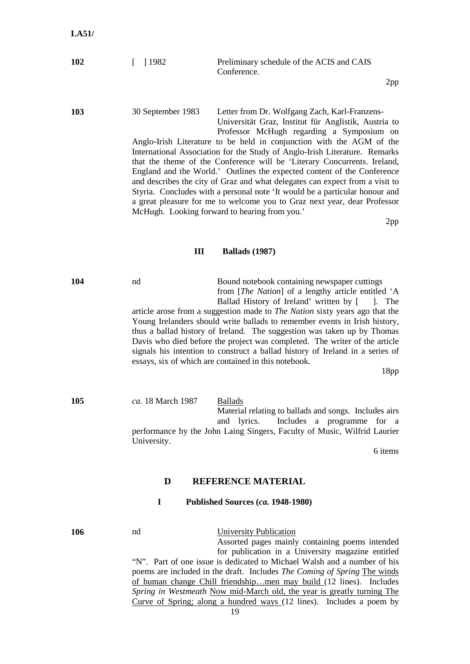| 102 | $\lceil$ 1982 | Preliminary schedule of the ACIS and CAIS |
|-----|---------------|-------------------------------------------|
|     |               | Conference.                               |

2pp

**103** 30 September 1983 Letter from Dr. Wolfgang Zach, Karl-Franzens-Universität Graz, Institut für Anglistik, Austria to Professor McHugh regarding a Symposium on Anglo-Irish Literature to be held in conjunction with the AGM of the International Association for the Study of Anglo-Irish Literature. Remarks that the theme of the Conference will be 'Literary Concurrents. Ireland, England and the World.' Outlines the expected content of the Conference and describes the city of Graz and what delegates can expect from a visit to Styria. Concludes with a personal note 'It would be a particular honour and

a great pleasure for me to welcome you to Graz next year, dear Professor

2pp

#### **III Ballads (1987)**

McHugh. Looking forward to hearing from you.'

**104 h** nd **Bound notebook containing newspaper cuttings** from [*The Nation*] of a lengthy article entitled 'A Ballad History of Ireland' written by [ ]. The article arose from a suggestion made to *The Nation* sixty years ago that the Young Irelanders should write ballads to remember events in Irish history, thus a ballad history of Ireland. The suggestion was taken up by Thomas Davis who died before the project was completed. The writer of the article signals his intention to construct a ballad history of Ireland in a series of essays, six of which are contained in this notebook.

18pp

**105** *ca.* 18 March 1987 Ballads Material relating to ballads and songs. Includes airs and lyrics. Includes a programme for a performance by the John Laing Singers, Faculty of Music, Wilfrid Laurier University.

6 items

## **D REFERENCE MATERIAL**

#### **I Published Sources (***ca.* **1948-1980)**

**106** nd University Publication

Assorted pages mainly containing poems intended for publication in a University magazine entitled "N". Part of one issue is dedicated to Michael Walsh and a number of his poems are included in the draft. Includes *The Coming of Spring* The winds of human change Chill friendship…men may build (12 lines). Includes *Spring in Westmeath* Now mid-March old, the year is greatly turning The Curve of Spring; along a hundred ways (12 lines). Includes a poem by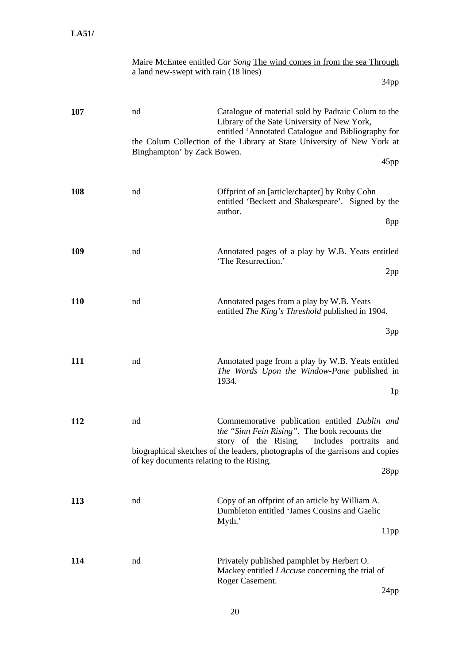| Maire McEntee entitled Car Song The wind comes in from the sea Through |  |  |  |
|------------------------------------------------------------------------|--|--|--|
| a land new-swept with rain (18 lines)                                  |  |  |  |

34pp

| 107        | nd<br>Binghampton' by Zack Bowen.              | Catalogue of material sold by Padraic Colum to the<br>Library of the Sate University of New York,<br>entitled 'Annotated Catalogue and Bibliography for<br>the Colum Collection of the Library at State University of New York at            |
|------------|------------------------------------------------|----------------------------------------------------------------------------------------------------------------------------------------------------------------------------------------------------------------------------------------------|
|            |                                                | 45pp                                                                                                                                                                                                                                         |
| 108        | nd                                             | Offprint of an [article/chapter] by Ruby Cohn<br>entitled 'Beckett and Shakespeare'. Signed by the<br>author.                                                                                                                                |
|            |                                                | 8pp                                                                                                                                                                                                                                          |
| 109        | nd                                             | Annotated pages of a play by W.B. Yeats entitled<br>'The Resurrection.'                                                                                                                                                                      |
|            |                                                | 2pp                                                                                                                                                                                                                                          |
| <b>110</b> | nd                                             | Annotated pages from a play by W.B. Yeats<br>entitled The King's Threshold published in 1904.                                                                                                                                                |
|            |                                                | 3pp                                                                                                                                                                                                                                          |
| <b>111</b> | nd                                             | Annotated page from a play by W.B. Yeats entitled<br>The Words Upon the Window-Pane published in<br>1934.<br>1 <sub>p</sub>                                                                                                                  |
| 112        | nd<br>of key documents relating to the Rising. | Commemorative publication entitled Dublin and<br>the "Sinn Fein Rising". The book recounts the<br>story of the Rising.<br>Includes portraits<br>and<br>biographical sketches of the leaders, photographs of the garrisons and copies<br>28pp |
| 113        | nd                                             | Copy of an offprint of an article by William A.<br>Dumbleton entitled 'James Cousins and Gaelic<br>Myth.'<br>11pp                                                                                                                            |
| 114        | nd                                             | Privately published pamphlet by Herbert O.<br>Mackey entitled <i>I Accuse</i> concerning the trial of<br>Roger Casement.<br>$\Omega$                                                                                                         |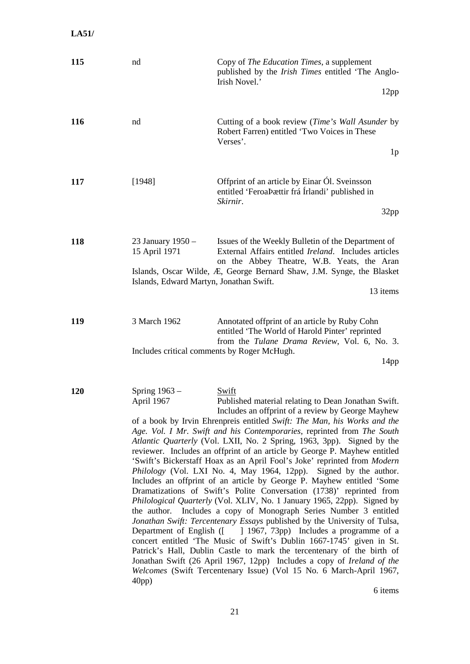**LA51/**

| 115 | nd                                                                            | Copy of <i>The Education Times</i> , a supplement<br>published by the Irish Times entitled 'The Anglo-<br>Irish Novel.'<br>12pp                                                                                                                                                                                                                                                                                                                                                                                                                                                                                                                                                                                                                                                                                                                                                                                                                                                                                                                                                                                                                                                                                                                                                                                                              |
|-----|-------------------------------------------------------------------------------|----------------------------------------------------------------------------------------------------------------------------------------------------------------------------------------------------------------------------------------------------------------------------------------------------------------------------------------------------------------------------------------------------------------------------------------------------------------------------------------------------------------------------------------------------------------------------------------------------------------------------------------------------------------------------------------------------------------------------------------------------------------------------------------------------------------------------------------------------------------------------------------------------------------------------------------------------------------------------------------------------------------------------------------------------------------------------------------------------------------------------------------------------------------------------------------------------------------------------------------------------------------------------------------------------------------------------------------------|
| 116 | nd                                                                            | Cutting of a book review (Time's Wall Asunder by<br>Robert Farren) entitled 'Two Voices in These<br>Verses'.<br>1 <sub>p</sub>                                                                                                                                                                                                                                                                                                                                                                                                                                                                                                                                                                                                                                                                                                                                                                                                                                                                                                                                                                                                                                                                                                                                                                                                               |
| 117 | [1948]                                                                        | Offprint of an article by Einar Ól. Sveinsson<br>entitled 'FeroaÞættir frá Írlandi' published in<br>Skirnir.<br>32pp                                                                                                                                                                                                                                                                                                                                                                                                                                                                                                                                                                                                                                                                                                                                                                                                                                                                                                                                                                                                                                                                                                                                                                                                                         |
| 118 | 23 January 1950 -<br>15 April 1971<br>Islands, Edward Martyn, Jonathan Swift. | Issues of the Weekly Bulletin of the Department of<br>External Affairs entitled Ireland. Includes articles<br>on the Abbey Theatre, W.B. Yeats, the Aran<br>Islands, Oscar Wilde, Æ, George Bernard Shaw, J.M. Synge, the Blasket<br>13 items                                                                                                                                                                                                                                                                                                                                                                                                                                                                                                                                                                                                                                                                                                                                                                                                                                                                                                                                                                                                                                                                                                |
| 119 | 3 March 1962<br>Includes critical comments by Roger McHugh.                   | Annotated offprint of an article by Ruby Cohn<br>entitled 'The World of Harold Pinter' reprinted<br>from the Tulane Drama Review, Vol. 6, No. 3.<br>14 <sub>pp</sub>                                                                                                                                                                                                                                                                                                                                                                                                                                                                                                                                                                                                                                                                                                                                                                                                                                                                                                                                                                                                                                                                                                                                                                         |
| 120 | Spring 1963 -<br>April 1967<br>$40pp$ )                                       | <b>Swift</b><br>Published material relating to Dean Jonathan Swift.<br>Includes an offprint of a review by George Mayhew<br>of a book by Irvin Ehrenpreis entitled Swift: The Man, his Works and the<br>Age. Vol. I Mr. Swift and his Contemporaries, reprinted from The South<br>Atlantic Quarterly (Vol. LXII, No. 2 Spring, 1963, 3pp). Signed by the<br>reviewer. Includes an offprint of an article by George P. Mayhew entitled<br>'Swift's Bickerstaff Hoax as an April Fool's Joke' reprinted from Modern<br>Philology (Vol. LXI No. 4, May 1964, 12pp). Signed by the author.<br>Includes an offprint of an article by George P. Mayhew entitled 'Some<br>Dramatizations of Swift's Polite Conversation (1738)' reprinted from<br>Philological Quarterly (Vol. XLIV, No. 1 January 1965, 22pp). Signed by<br>the author. Includes a copy of Monograph Series Number 3 entitled<br>Jonathan Swift: Tercentenary Essays published by the University of Tulsa,<br>Department of English ([ ] 1967, 73pp) Includes a programme of a<br>concert entitled 'The Music of Swift's Dublin 1667-1745' given in St.<br>Patrick's Hall, Dublin Castle to mark the tercentenary of the birth of<br>Jonathan Swift (26 April 1967, 12pp) Includes a copy of Ireland of the<br>Welcomes (Swift Tercentenary Issue) (Vol 15 No. 6 March-April 1967, |

6 items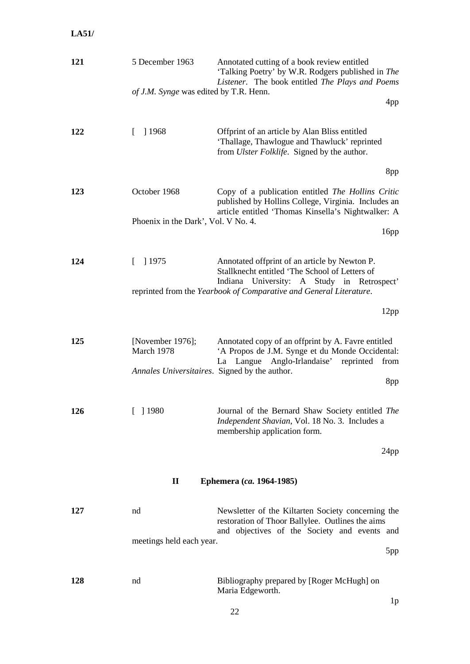## **LA51/**

| 4pp<br>'Thallage, Thawlogue and Thawluck' reprinted<br>8pp<br>Copy of a publication entitled The Hollins Critic<br>published by Hollins College, Virginia. Includes an<br>article entitled 'Thomas Kinsella's Nightwalker: A<br>16 <sub>pp</sub><br>Annotated offprint of an article by Newton P.<br>Stallknecht entitled 'The School of Letters of<br>Indiana University: A Study in Retrospect' |
|---------------------------------------------------------------------------------------------------------------------------------------------------------------------------------------------------------------------------------------------------------------------------------------------------------------------------------------------------------------------------------------------------|
|                                                                                                                                                                                                                                                                                                                                                                                                   |
|                                                                                                                                                                                                                                                                                                                                                                                                   |
|                                                                                                                                                                                                                                                                                                                                                                                                   |
|                                                                                                                                                                                                                                                                                                                                                                                                   |
|                                                                                                                                                                                                                                                                                                                                                                                                   |
|                                                                                                                                                                                                                                                                                                                                                                                                   |
|                                                                                                                                                                                                                                                                                                                                                                                                   |
|                                                                                                                                                                                                                                                                                                                                                                                                   |
|                                                                                                                                                                                                                                                                                                                                                                                                   |
| 12pp                                                                                                                                                                                                                                                                                                                                                                                              |
| Annotated copy of an offprint by A. Favre entitled<br>'A Propos de J.M. Synge et du Monde Occidental:                                                                                                                                                                                                                                                                                             |
| from<br>8pp                                                                                                                                                                                                                                                                                                                                                                                       |
| Journal of the Bernard Shaw Society entitled The<br>Independent Shavian, Vol. 18 No. 3. Includes a                                                                                                                                                                                                                                                                                                |
| 24pp                                                                                                                                                                                                                                                                                                                                                                                              |
|                                                                                                                                                                                                                                                                                                                                                                                                   |
|                                                                                                                                                                                                                                                                                                                                                                                                   |
| Newsletter of the Kiltarten Society concerning the<br>restoration of Thoor Ballylee. Outlines the aims                                                                                                                                                                                                                                                                                            |
| and objectives of the Society and events and                                                                                                                                                                                                                                                                                                                                                      |
| 5pp                                                                                                                                                                                                                                                                                                                                                                                               |
| Bibliography prepared by [Roger McHugh] on<br>1p                                                                                                                                                                                                                                                                                                                                                  |
| La Langue Anglo-Irlandaise' reprinted                                                                                                                                                                                                                                                                                                                                                             |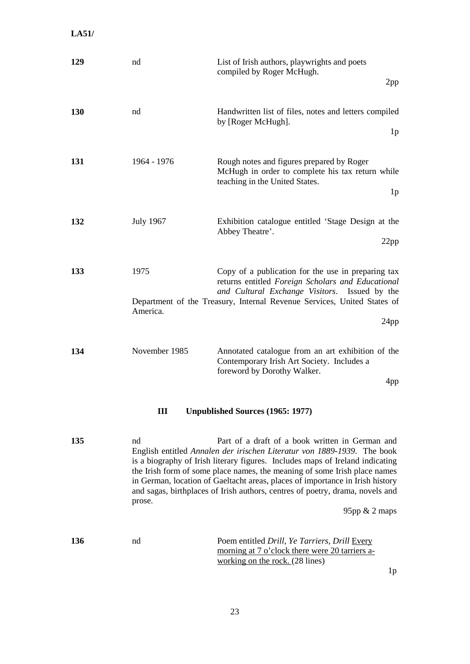**LA51/**

| 129        | nd                                             | List of Irish authors, playwrights and poets<br>compiled by Roger McHugh.<br>2pp                                                                                                                                                                                                                                                                                                                                                                           |  |  |
|------------|------------------------------------------------|------------------------------------------------------------------------------------------------------------------------------------------------------------------------------------------------------------------------------------------------------------------------------------------------------------------------------------------------------------------------------------------------------------------------------------------------------------|--|--|
| 130        | nd                                             | Handwritten list of files, notes and letters compiled<br>by [Roger McHugh].<br>1 <sub>p</sub>                                                                                                                                                                                                                                                                                                                                                              |  |  |
| 131        | 1964 - 1976                                    | Rough notes and figures prepared by Roger<br>McHugh in order to complete his tax return while<br>teaching in the United States.<br>1 <sub>p</sub>                                                                                                                                                                                                                                                                                                          |  |  |
| 132        | <b>July 1967</b>                               | Exhibition catalogue entitled 'Stage Design at the<br>Abbey Theatre'.<br>22pp                                                                                                                                                                                                                                                                                                                                                                              |  |  |
| 133        | 1975<br>America.                               | Copy of a publication for the use in preparing tax<br>returns entitled Foreign Scholars and Educational<br>and Cultural Exchange Visitors. Issued by the<br>Department of the Treasury, Internal Revenue Services, United States of<br>24pp                                                                                                                                                                                                                |  |  |
| 134        | November 1985                                  | Annotated catalogue from an art exhibition of the<br>Contemporary Irish Art Society. Includes a<br>foreword by Dorothy Walker.<br>4pp                                                                                                                                                                                                                                                                                                                      |  |  |
|            | III<br><b>Unpublished Sources (1965: 1977)</b> |                                                                                                                                                                                                                                                                                                                                                                                                                                                            |  |  |
| 135        | nd<br>prose.                                   | Part of a draft of a book written in German and<br>English entitled Annalen der irischen Literatur von 1889-1939. The book<br>is a biography of Irish literary figures. Includes maps of Ireland indicating<br>the Irish form of some place names, the meaning of some Irish place names<br>in German, location of Gaeltacht areas, places of importance in Irish history<br>and sagas, birthplaces of Irish authors, centres of poetry, drama, novels and |  |  |
|            |                                                | 95pp $& 2$ maps                                                                                                                                                                                                                                                                                                                                                                                                                                            |  |  |
| <b>136</b> | nd                                             | Poem entitled Drill, Ye Tarriers, Drill Every<br>morning at 7 o'clock there were 20 tarriers a-<br>working on the rock. $(28 \text{ lines})$<br>1 <sub>p</sub>                                                                                                                                                                                                                                                                                             |  |  |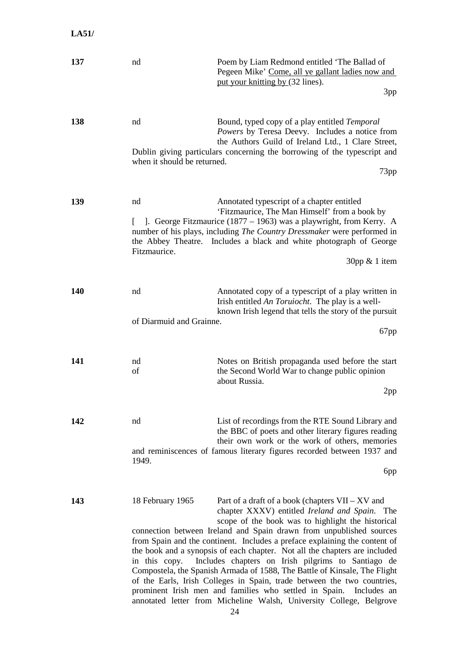| 137        | nd                                | Poem by Liam Redmond entitled 'The Ballad of<br>Pegeen Mike' Come, all ye gallant ladies now and<br>put your knitting by (32 lines).<br>3pp                                                                                                                                                                                                                                                                                                                                                                                                                                                                                                                                                                                                               |
|------------|-----------------------------------|-----------------------------------------------------------------------------------------------------------------------------------------------------------------------------------------------------------------------------------------------------------------------------------------------------------------------------------------------------------------------------------------------------------------------------------------------------------------------------------------------------------------------------------------------------------------------------------------------------------------------------------------------------------------------------------------------------------------------------------------------------------|
| 138        | nd<br>when it should be returned. | Bound, typed copy of a play entitled Temporal<br>Powers by Teresa Deevy. Includes a notice from<br>the Authors Guild of Ireland Ltd., 1 Clare Street,<br>Dublin giving particulars concerning the borrowing of the typescript and<br>73pp                                                                                                                                                                                                                                                                                                                                                                                                                                                                                                                 |
| 139        | nd<br>Fitzmaurice.                | Annotated typescript of a chapter entitled<br>'Fitzmaurice, The Man Himself' from a book by<br>[ ]. George Fitzmaurice (1877 – 1963) was a playwright, from Kerry. A<br>number of his plays, including <i>The Country Dressmaker</i> were performed in<br>the Abbey Theatre. Includes a black and white photograph of George<br>$30$ pp & 1 item                                                                                                                                                                                                                                                                                                                                                                                                          |
| <b>140</b> | nd<br>of Diarmuid and Grainne.    | Annotated copy of a typescript of a play written in<br>Irish entitled An Toruiocht. The play is a well-<br>known Irish legend that tells the story of the pursuit<br>67pp                                                                                                                                                                                                                                                                                                                                                                                                                                                                                                                                                                                 |
| 141        | nd<br>of                          | Notes on British propaganda used before the start<br>the Second World War to change public opinion<br>about Russia.<br>2pp                                                                                                                                                                                                                                                                                                                                                                                                                                                                                                                                                                                                                                |
| 142        | nd<br>1949.                       | List of recordings from the RTE Sound Library and<br>the BBC of poets and other literary figures reading<br>their own work or the work of others, memories<br>and reminiscences of famous literary figures recorded between 1937 and<br>6pp                                                                                                                                                                                                                                                                                                                                                                                                                                                                                                               |
| 143        | 18 February 1965<br>in this copy. | Part of a draft of a book (chapters $VII - XV$ and<br>chapter XXXV) entitled Ireland and Spain. The<br>scope of the book was to highlight the historical<br>connection between Ireland and Spain drawn from unpublished sources<br>from Spain and the continent. Includes a preface explaining the content of<br>the book and a synopsis of each chapter. Not all the chapters are included<br>Includes chapters on Irish pilgrims to Santiago de<br>Compostela, the Spanish Armada of 1588, The Battle of Kinsale, The Flight<br>of the Earls, Irish Colleges in Spain, trade between the two countries,<br>prominent Irish men and families who settled in Spain.<br>Includes an<br>annotated letter from Micheline Walsh, University College, Belgrove |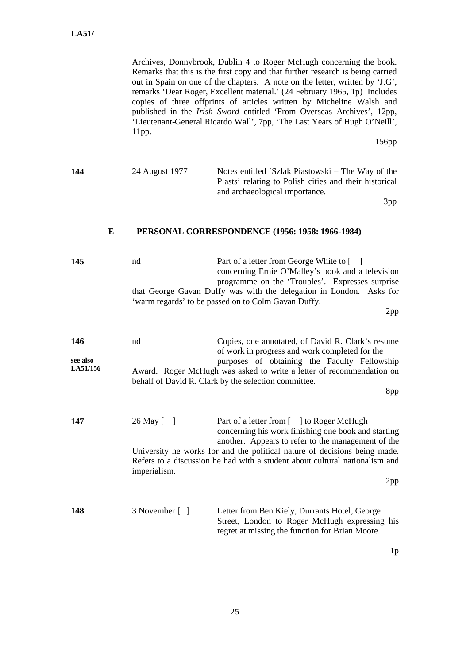Archives, Donnybrook, Dublin 4 to Roger McHugh concerning the book. Remarks that this is the first copy and that further research is being carried out in Spain on one of the chapters. A note on the letter, written by 'J.G', remarks 'Dear Roger, Excellent material.' (24 February 1965, 1p) Includes copies of three offprints of articles written by Micheline Walsh and published in the *Irish Sword* entitled 'From Overseas Archives', 12pp, 'Lieutenant-General Ricardo Wall', 7pp, 'The Last Years of Hugh O'Neill', 11pp.

156pp

**144** 24 August 1977 Notes entitled 'Szlak Piastowski – The Way of the Plasts' relating to Polish cities and their historical and archaeological importance.

3pp

#### **E PERSONAL CORRESPONDENCE (1956: 1958: 1966-1984)**

| 145                         | nd                         | Part of a letter from George White to [ ]<br>concerning Ernie O'Malley's book and a television<br>programme on the 'Troubles'. Expresses surprise<br>that George Gavan Duffy was with the delegation in London. Asks for<br>'warm regards' to be passed on to Colm Gavan Duffy.<br>2pp                             |
|-----------------------------|----------------------------|--------------------------------------------------------------------------------------------------------------------------------------------------------------------------------------------------------------------------------------------------------------------------------------------------------------------|
| 146<br>see also<br>LA51/156 | nd                         | Copies, one annotated, of David R. Clark's resume<br>of work in progress and work completed for the<br>purposes of obtaining the Faculty Fellowship<br>Award. Roger McHugh was asked to write a letter of recommendation on<br>behalf of David R. Clark by the selection committee.<br>8pp                         |
| 147                         | 26 May [ ]<br>imperialism. | Part of a letter from [ ] to Roger McHugh<br>concerning his work finishing one book and starting<br>another. Appears to refer to the management of the<br>University he works for and the political nature of decisions being made.<br>Refers to a discussion he had with a student about cultural nationalism and |
| 148                         | 3 November [ ]             | 2pp<br>Letter from Ben Kiely, Durrants Hotel, George<br>Street, London to Roger McHugh expressing his<br>regret at missing the function for Brian Moore.                                                                                                                                                           |

1p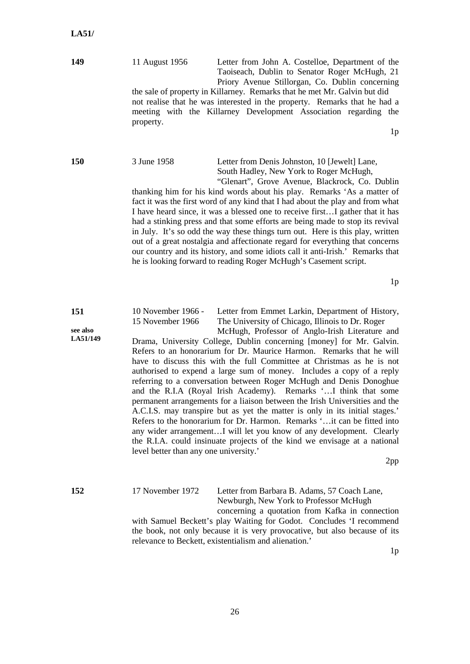**149** 11 August 1956 Letter from John A. Costelloe, Department of the Taoiseach, Dublin to Senator Roger McHugh, 21 Priory Avenue Stillorgan, Co. Dublin concerning

the sale of property in Killarney. Remarks that he met Mr. Galvin but did not realise that he was interested in the property. Remarks that he had a meeting with the Killarney Development Association regarding the property.

1p

| ٠<br>۰,<br>۰.<br>× |  |
|--------------------|--|

## **150** 3 June 1958 Letter from Denis Johnston, 10 [Jewelt] Lane, South Hadley, New York to Roger McHugh,

"Glenart", Grove Avenue, Blackrock, Co. Dublin thanking him for his kind words about his play. Remarks 'As a matter of fact it was the first word of any kind that I had about the play and from what I have heard since, it was a blessed one to receive first…I gather that it has had a stinking press and that some efforts are being made to stop its revival in July. It's so odd the way these things turn out. Here is this play, written out of a great nostalgia and affectionate regard for everything that concerns our country and its history, and some idiots call it anti-Irish.' Remarks that he is looking forward to reading Roger McHugh's Casement script.

1p

#### **151 see also LA51/149** 10 November 1966 - Letter from Emmet Larkin, Department of History, 15 November 1966 The University of Chicago, Illinois to Dr. Roger McHugh, Professor of Anglo-Irish Literature and

Drama, University College, Dublin concerning [money] for Mr. Galvin. Refers to an honorarium for Dr. Maurice Harmon. Remarks that he will have to discuss this with the full Committee at Christmas as he is not authorised to expend a large sum of money. Includes a copy of a reply referring to a conversation between Roger McHugh and Denis Donoghue and the R.I.A (Royal Irish Academy). Remarks '…I think that some permanent arrangements for a liaison between the Irish Universities and the A.C.I.S. may transpire but as yet the matter is only in its initial stages.' Refers to the honorarium for Dr. Harmon. Remarks '…it can be fitted into any wider arrangement…I will let you know of any development. Clearly the R.I.A. could insinuate projects of the kind we envisage at a national level better than any one university.'

2pp

## **152** 17 November 1972 Letter from Barbara B. Adams, 57 Coach Lane, Newburgh, New York to Professor McHugh

concerning a quotation from Kafka in connection with Samuel Beckett's play Waiting for Godot. Concludes 'I recommend the book, not only because it is very provocative, but also because of its relevance to Beckett, existentialism and alienation.'

 $1<sub>p</sub>$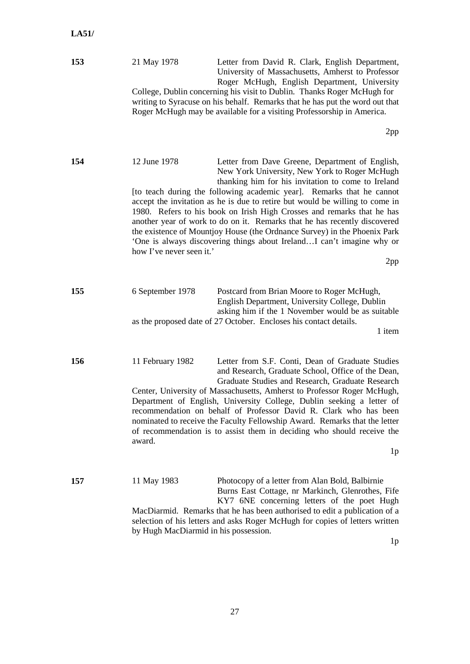| 153 | 21 May 1978                                          | Letter from David R. Clark, English Department,<br>University of Massachusetts, Amherst to Professor<br>Roger McHugh, English Department, University<br>College, Dublin concerning his visit to Dublin. Thanks Roger McHugh for<br>writing to Syracuse on his behalf. Remarks that he has put the word out that<br>Roger McHugh may be available for a visiting Professorship in America.                                                                                                                                                                                                                                    |
|-----|------------------------------------------------------|------------------------------------------------------------------------------------------------------------------------------------------------------------------------------------------------------------------------------------------------------------------------------------------------------------------------------------------------------------------------------------------------------------------------------------------------------------------------------------------------------------------------------------------------------------------------------------------------------------------------------|
|     |                                                      | 2pp                                                                                                                                                                                                                                                                                                                                                                                                                                                                                                                                                                                                                          |
| 154 | 12 June 1978<br>how I've never seen it.'             | Letter from Dave Greene, Department of English,<br>New York University, New York to Roger McHugh<br>thanking him for his invitation to come to Ireland<br>[to teach during the following academic year]. Remarks that he cannot<br>accept the invitation as he is due to retire but would be willing to come in<br>1980. Refers to his book on Irish High Crosses and remarks that he has<br>another year of work to do on it. Remarks that he has recently discovered<br>the existence of Mountjoy House (the Ordnance Survey) in the Phoenix Park<br>'One is always discovering things about IrelandI can't imagine why or |
|     |                                                      | 2pp                                                                                                                                                                                                                                                                                                                                                                                                                                                                                                                                                                                                                          |
| 155 | 6 September 1978                                     | Postcard from Brian Moore to Roger McHugh,<br>English Department, University College, Dublin<br>asking him if the 1 November would be as suitable<br>as the proposed date of 27 October. Encloses his contact details.<br>1 item                                                                                                                                                                                                                                                                                                                                                                                             |
| 156 | 11 February 1982<br>award.                           | Letter from S.F. Conti, Dean of Graduate Studies<br>and Research, Graduate School, Office of the Dean,<br>Graduate Studies and Research, Graduate Research<br>Center, University of Massachusetts, Amherst to Professor Roger McHugh,<br>Department of English, University College, Dublin seeking a letter of<br>recommendation on behalf of Professor David R. Clark who has been<br>nominated to receive the Faculty Fellowship Award. Remarks that the letter<br>of recommendation is to assist them in deciding who should receive the<br>1 <sub>p</sub>                                                                |
| 157 | 11 May 1983<br>by Hugh MacDiarmid in his possession. | Photocopy of a letter from Alan Bold, Balbirnie<br>Burns East Cottage, nr Markinch, Glenrothes, Fife<br>KY7 6NE concerning letters of the poet Hugh<br>MacDiarmid. Remarks that he has been authorised to edit a publication of a<br>selection of his letters and asks Roger McHugh for copies of letters written                                                                                                                                                                                                                                                                                                            |

 $1\text{p}$